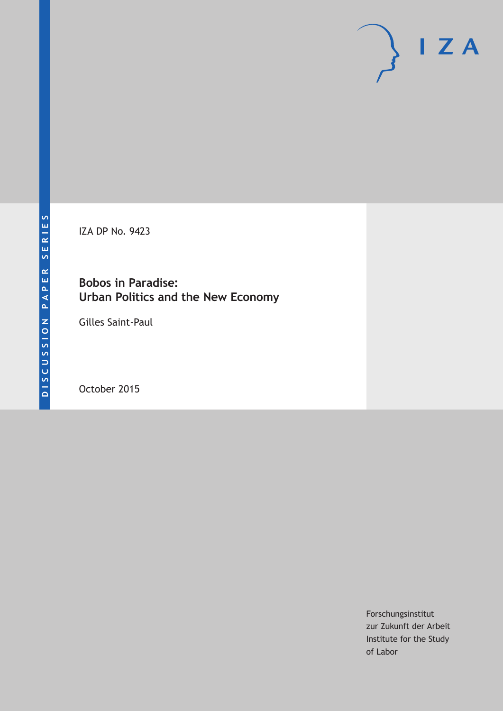IZA DP No. 9423

### **Bobos in Paradise: Urban Politics and the New Economy**

Gilles Saint-Paul

October 2015

Forschungsinstitut zur Zukunft der Arbeit Institute for the Study of Labor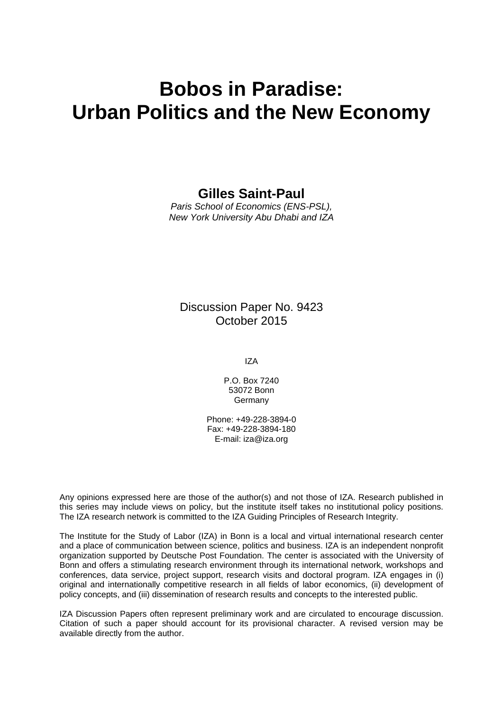# **Bobos in Paradise: Urban Politics and the New Economy**

#### **Gilles Saint-Paul**

*Paris School of Economics (ENS-PSL), New York University Abu Dhabi and IZA* 

#### Discussion Paper No. 9423 October 2015

IZA

P.O. Box 7240 53072 Bonn Germany

Phone: +49-228-3894-0 Fax: +49-228-3894-180 E-mail: iza@iza.org

Any opinions expressed here are those of the author(s) and not those of IZA. Research published in this series may include views on policy, but the institute itself takes no institutional policy positions. The IZA research network is committed to the IZA Guiding Principles of Research Integrity.

The Institute for the Study of Labor (IZA) in Bonn is a local and virtual international research center and a place of communication between science, politics and business. IZA is an independent nonprofit organization supported by Deutsche Post Foundation. The center is associated with the University of Bonn and offers a stimulating research environment through its international network, workshops and conferences, data service, project support, research visits and doctoral program. IZA engages in (i) original and internationally competitive research in all fields of labor economics, (ii) development of policy concepts, and (iii) dissemination of research results and concepts to the interested public.

IZA Discussion Papers often represent preliminary work and are circulated to encourage discussion. Citation of such a paper should account for its provisional character. A revised version may be available directly from the author.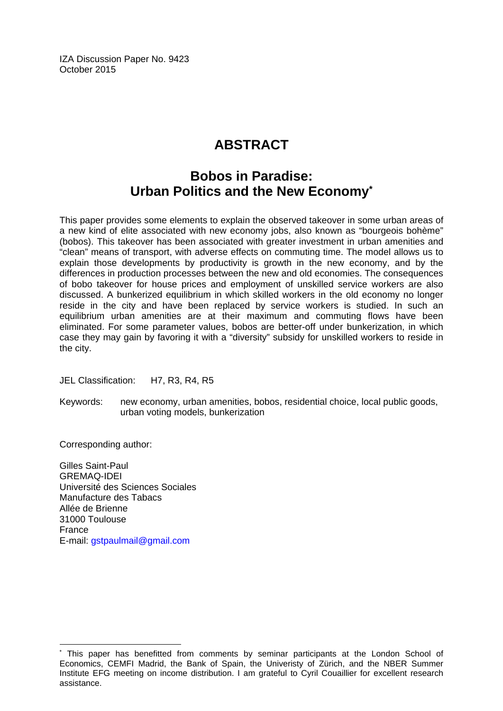IZA Discussion Paper No. 9423 October 2015

# **ABSTRACT**

### **Bobos in Paradise: Urban Politics and the New Economy\***

This paper provides some elements to explain the observed takeover in some urban areas of a new kind of elite associated with new economy jobs, also known as "bourgeois bohème" (bobos). This takeover has been associated with greater investment in urban amenities and "clean" means of transport, with adverse effects on commuting time. The model allows us to explain those developments by productivity is growth in the new economy, and by the differences in production processes between the new and old economies. The consequences of bobo takeover for house prices and employment of unskilled service workers are also discussed. A bunkerized equilibrium in which skilled workers in the old economy no longer reside in the city and have been replaced by service workers is studied. In such an equilibrium urban amenities are at their maximum and commuting flows have been eliminated. For some parameter values, bobos are better-off under bunkerization, in which case they may gain by favoring it with a "diversity" subsidy for unskilled workers to reside in the city.

JEL Classification: H7, R3, R4, R5

Keywords: new economy, urban amenities, bobos, residential choice, local public goods, urban voting models, bunkerization

Corresponding author:

 $\overline{a}$ 

Gilles Saint-Paul GREMAQ-IDEI Université des Sciences Sociales Manufacture des Tabacs Allée de Brienne 31000 Toulouse France E-mail: gstpaulmail@gmail.com

<sup>\*</sup> This paper has benefitted from comments by seminar participants at the London School of Economics, CEMFI Madrid, the Bank of Spain, the Univeristy of Zürich, and the NBER Summer Institute EFG meeting on income distribution. I am grateful to Cyril Couaillier for excellent research assistance.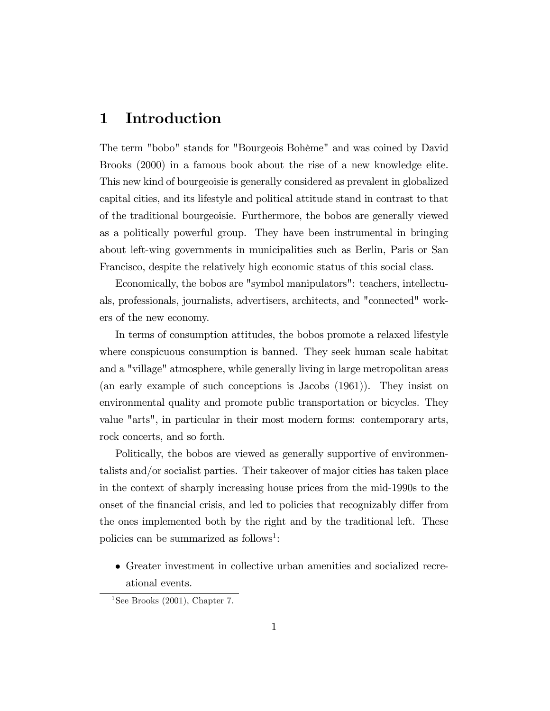### 1 Introduction

The term "bobo" stands for "Bourgeois Bohème" and was coined by David Brooks (2000) in a famous book about the rise of a new knowledge elite. This new kind of bourgeoisie is generally considered as prevalent in globalized capital cities, and its lifestyle and political attitude stand in contrast to that of the traditional bourgeoisie. Furthermore, the bobos are generally viewed as a politically powerful group. They have been instrumental in bringing about left-wing governments in municipalities such as Berlin, Paris or San Francisco, despite the relatively high economic status of this social class.

Economically, the bobos are "symbol manipulators": teachers, intellectuals, professionals, journalists, advertisers, architects, and "connected" workers of the new economy.

In terms of consumption attitudes, the bobos promote a relaxed lifestyle where conspicuous consumption is banned. They seek human scale habitat and a "village" atmosphere, while generally living in large metropolitan areas (an early example of such conceptions is Jacobs (1961)). They insist on environmental quality and promote public transportation or bicycles. They value "arts", in particular in their most modern forms: contemporary arts, rock concerts, and so forth.

Politically, the bobos are viewed as generally supportive of environmentalists and/or socialist parties. Their takeover of major cities has taken place in the context of sharply increasing house prices from the mid-1990s to the onset of the financial crisis, and led to policies that recognizably differ from the ones implemented both by the right and by the traditional left. These policies can be summarized as follows<sup>1</sup>:

 Greater investment in collective urban amenities and socialized recreational events.

<sup>&</sup>lt;sup>1</sup>See Brooks  $(2001)$ , Chapter 7.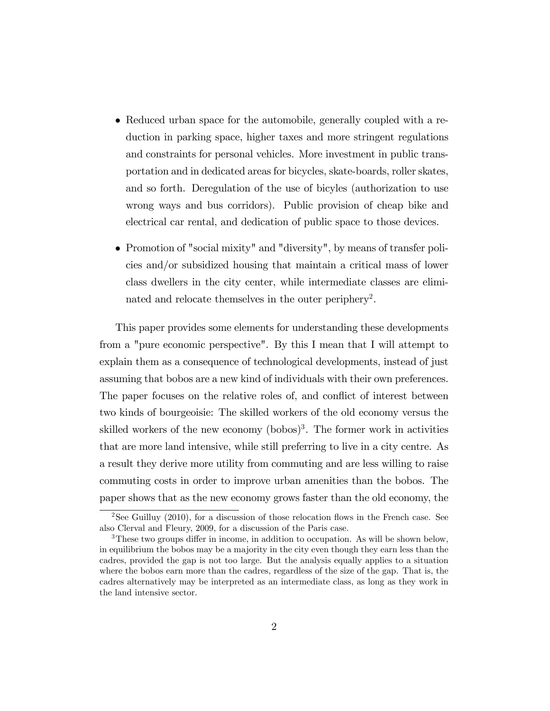- Reduced urban space for the automobile, generally coupled with a reduction in parking space, higher taxes and more stringent regulations and constraints for personal vehicles. More investment in public transportation and in dedicated areas for bicycles, skate-boards, roller skates, and so forth. Deregulation of the use of bicyles (authorization to use wrong ways and bus corridors). Public provision of cheap bike and electrical car rental, and dedication of public space to those devices.
- Promotion of "social mixity" and "diversity", by means of transfer policies and/or subsidized housing that maintain a critical mass of lower class dwellers in the city center, while intermediate classes are eliminated and relocate themselves in the outer periphery<sup>2</sup>.

This paper provides some elements for understanding these developments from a "pure economic perspective". By this I mean that I will attempt to explain them as a consequence of technological developments, instead of just assuming that bobos are a new kind of individuals with their own preferences. The paper focuses on the relative roles of, and conflict of interest between two kinds of bourgeoisie: The skilled workers of the old economy versus the skilled workers of the new economy  $($ bobos $)$ <sup>3</sup>. The former work in activities that are more land intensive, while still preferring to live in a city centre. As a result they derive more utility from commuting and are less willing to raise commuting costs in order to improve urban amenities than the bobos. The paper shows that as the new economy grows faster than the old economy, the

<sup>&</sup>lt;sup>2</sup>See Guilluy (2010), for a discussion of those relocation flows in the French case. See also Clerval and Fleury, 2009, for a discussion of the Paris case.

 $3$ These two groups differ in income, in addition to occupation. As will be shown below, in equilibrium the bobos may be a majority in the city even though they earn less than the cadres, provided the gap is not too large. But the analysis equally applies to a situation where the bobos earn more than the cadres, regardless of the size of the gap. That is, the cadres alternatively may be interpreted as an intermediate class, as long as they work in the land intensive sector.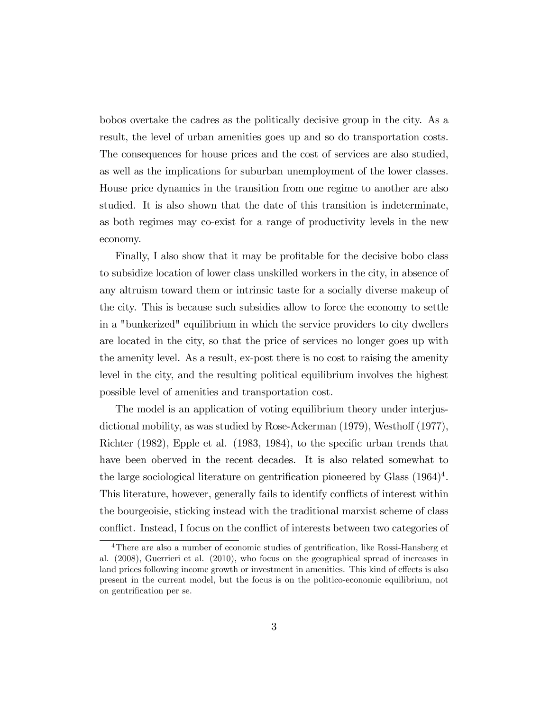bobos overtake the cadres as the politically decisive group in the city. As a result, the level of urban amenities goes up and so do transportation costs. The consequences for house prices and the cost of services are also studied, as well as the implications for suburban unemployment of the lower classes. House price dynamics in the transition from one regime to another are also studied. It is also shown that the date of this transition is indeterminate, as both regimes may co-exist for a range of productivity levels in the new economy.

Finally, I also show that it may be profitable for the decisive bobo class to subsidize location of lower class unskilled workers in the city, in absence of any altruism toward them or intrinsic taste for a socially diverse makeup of the city. This is because such subsidies allow to force the economy to settle in a "bunkerized" equilibrium in which the service providers to city dwellers are located in the city, so that the price of services no longer goes up with the amenity level. As a result, ex-post there is no cost to raising the amenity level in the city, and the resulting political equilibrium involves the highest possible level of amenities and transportation cost.

The model is an application of voting equilibrium theory under interjusdictional mobility, as was studied by Rose-Ackerman  $(1979)$ , Westhoff  $(1977)$ , Richter  $(1982)$ , Epple et al.  $(1983, 1984)$ , to the specific urban trends that have been oberved in the recent decades. It is also related somewhat to the large sociological literature on gentrification pioneered by Glass  $(1964)^4$ . This literature, however, generally fails to identify conflicts of interest within the bourgeoisie, sticking instead with the traditional marxist scheme of class conflict. Instead, I focus on the conflict of interests between two categories of

 $4$ There are also a number of economic studies of gentrification, like Rossi-Hansberg et al. (2008), Guerrieri et al. (2010), who focus on the geographical spread of increases in land prices following income growth or investment in amenities. This kind of effects is also present in the current model, but the focus is on the politico-economic equilibrium, not on gentrification per se.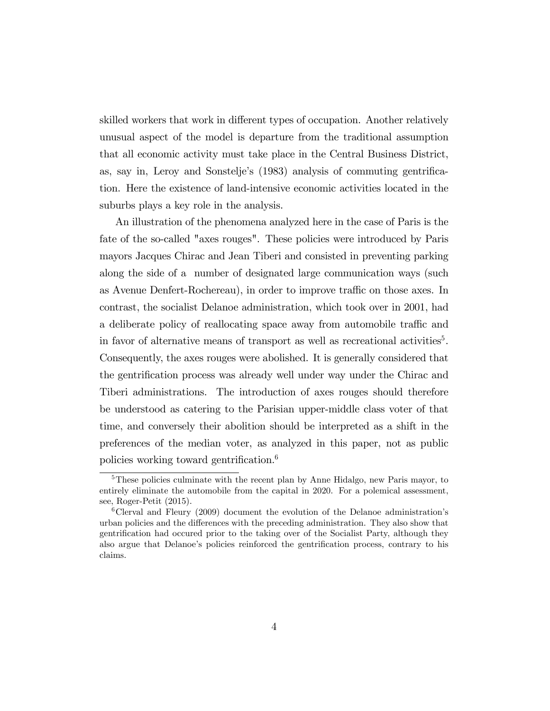skilled workers that work in different types of occupation. Another relatively unusual aspect of the model is departure from the traditional assumption that all economic activity must take place in the Central Business District, as, say in, Leroy and Sonstelje's (1983) analysis of commuting gentrifica-tion. Here the existence of land-intensive economic activities located in the suburbs plays a key role in the analysis.

An illustration of the phenomena analyzed here in the case of Paris is the fate of the so-called "axes rouges". These policies were introduced by Paris mayors Jacques Chirac and Jean Tiberi and consisted in preventing parking along the side of a number of designated large communication ways (such as Avenue Denfert-Rochereau), in order to improve traffic on those axes. In contrast, the socialist Delanoe administration, which took over in 2001, had a deliberate policy of reallocating space away from automobile traffic and in favor of alternative means of transport as well as recreational activities<sup>5</sup>. Consequently, the axes rouges were abolished. It is generally considered that the gentrification process was already well under way under the Chirac and Tiberi administrations. The introduction of axes rouges should therefore be understood as catering to the Parisian upper-middle class voter of that time, and conversely their abolition should be interpreted as a shift in the preferences of the median voter, as analyzed in this paper, not as public policies working toward gentrification.<sup>6</sup>

<sup>&</sup>lt;sup>5</sup>These policies culminate with the recent plan by Anne Hidalgo, new Paris mayor, to entirely eliminate the automobile from the capital in 2020. For a polemical assessment, see, Roger-Petit (2015).

<sup>&</sup>lt;sup>6</sup>Clerval and Fleury (2009) document the evolution of the Delanoe administration's urban policies and the differences with the preceding administration. They also show that gentrification had occured prior to the taking over of the Socialist Party, although they also argue that Delanoe's policies reinforced the gentrification process, contrary to his claims.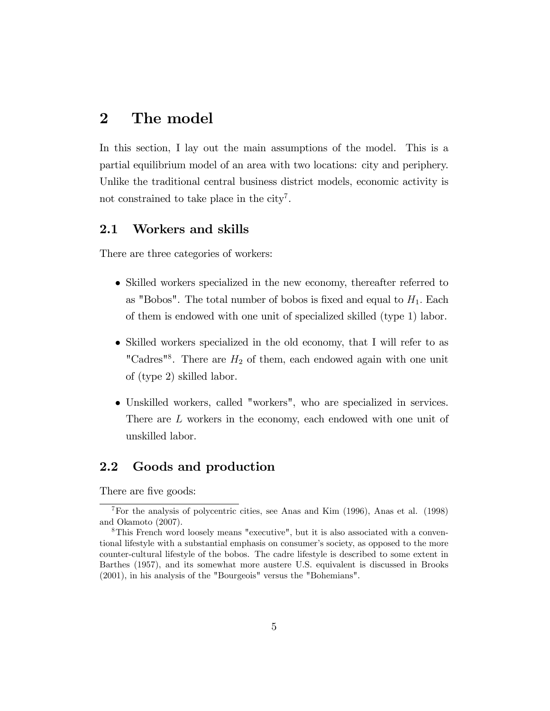### 2 The model

In this section, I lay out the main assumptions of the model. This is a partial equilibrium model of an area with two locations: city and periphery. Unlike the traditional central business district models, economic activity is not constrained to take place in the city<sup>7</sup>.

#### 2.1 Workers and skills

There are three categories of workers:

- Skilled workers specialized in the new economy, thereafter referred to as "Bobos". The total number of bobos is fixed and equal to  $H_1$ . Each of them is endowed with one unit of specialized skilled (type 1) labor.
- Skilled workers specialized in the old economy, that I will refer to as "Cadres"<sup>8</sup>. There are  $H_2$  of them, each endowed again with one unit of (type 2) skilled labor.
- Unskilled workers, called "workers", who are specialized in services. There are L workers in the economy, each endowed with one unit of unskilled labor.

#### 2.2 Goods and production

There are five goods:

<sup>&</sup>lt;sup>7</sup>For the analysis of polycentric cities, see Anas and Kim  $(1996)$ , Anas et al.  $(1998)$ and Okamoto (2007).

<sup>8</sup>This French word loosely means "executive", but it is also associated with a conventional lifestyle with a substantial emphasis on consumer's society, as opposed to the more counter-cultural lifestyle of the bobos. The cadre lifestyle is described to some extent in Barthes (1957), and its somewhat more austere U.S. equivalent is discussed in Brooks (2001), in his analysis of the "Bourgeois" versus the "Bohemians".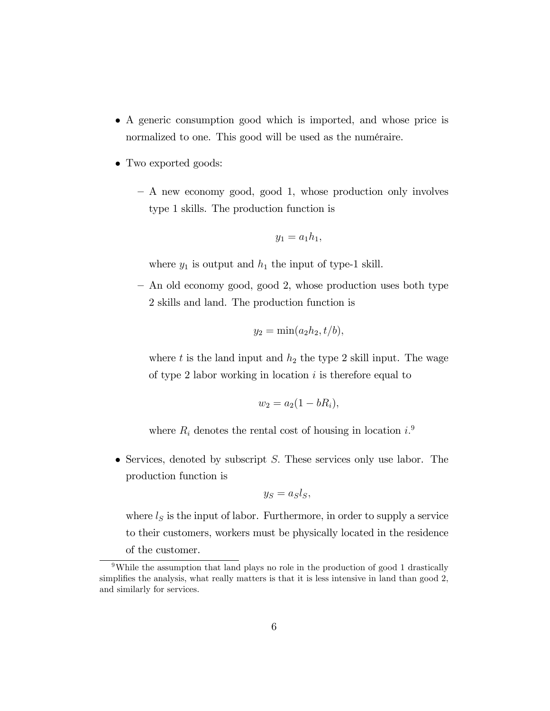- A generic consumption good which is imported, and whose price is normalized to one. This good will be used as the numéraire.
- Two exported goods:
	- A new economy good, good 1, whose production only involves type 1 skills. The production function is

$$
y_1 = a_1 h_1,
$$

where  $y_1$  is output and  $h_1$  the input of type-1 skill.

 $-$  An old economy good, good 2, whose production uses both type 2 skills and land. The production function is

$$
y_2 = \min(a_2h_2, t/b),
$$

where t is the land input and  $h_2$  the type 2 skill input. The wage of type 2 labor working in location  $i$  is therefore equal to

$$
w_2 = a_2(1 - bR_i),
$$

where  $R_i$  denotes the rental cost of housing in location  $i$ .<sup>9</sup>

 $\bullet$  Services, denoted by subscript S. These services only use labor. The production function is

$$
y_S = a_S l_S,
$$

where  $l<sub>S</sub>$  is the input of labor. Furthermore, in order to supply a service to their customers, workers must be physically located in the residence of the customer.

<sup>9</sup>While the assumption that land plays no role in the production of good 1 drastically simplifies the analysis, what really matters is that it is less intensive in land than good 2, and similarly for services.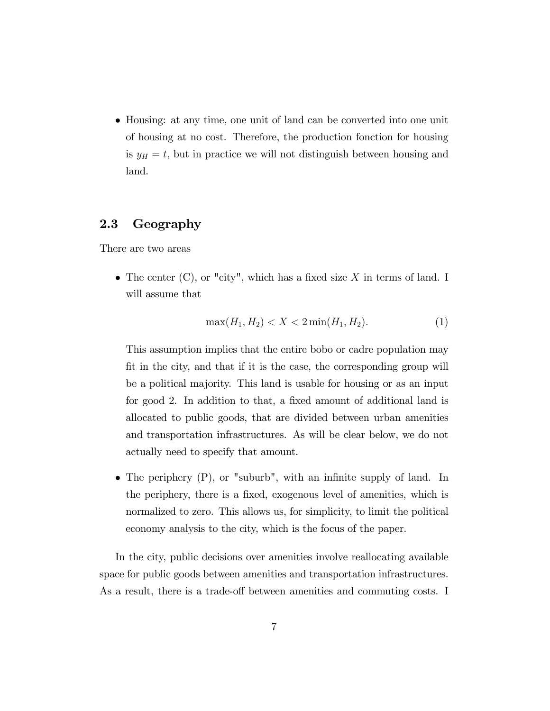• Housing: at any time, one unit of land can be converted into one unit of housing at no cost. Therefore, the production fonction for housing is  $y_H = t$ , but in practice we will not distinguish between housing and land.

#### 2.3 Geography

There are two areas

• The center  $(C)$ , or "city", which has a fixed size X in terms of land. I will assume that

$$
\max(H_1, H_2) < X < 2\min(H_1, H_2). \tag{1}
$$

This assumption implies that the entire bobo or cadre population may Öt in the city, and that if it is the case, the corresponding group will be a political majority. This land is usable for housing or as an input for good 2. In addition to that, a fixed amount of additional land is allocated to public goods, that are divided between urban amenities and transportation infrastructures. As will be clear below, we do not actually need to specify that amount.

 $\bullet$  The periphery  $(P)$ , or "suburb", with an infinite supply of land. In the periphery, there is a fixed, exogenous level of amenities, which is normalized to zero. This allows us, for simplicity, to limit the political economy analysis to the city, which is the focus of the paper.

In the city, public decisions over amenities involve reallocating available space for public goods between amenities and transportation infrastructures. As a result, there is a trade-off between amenities and commuting costs. I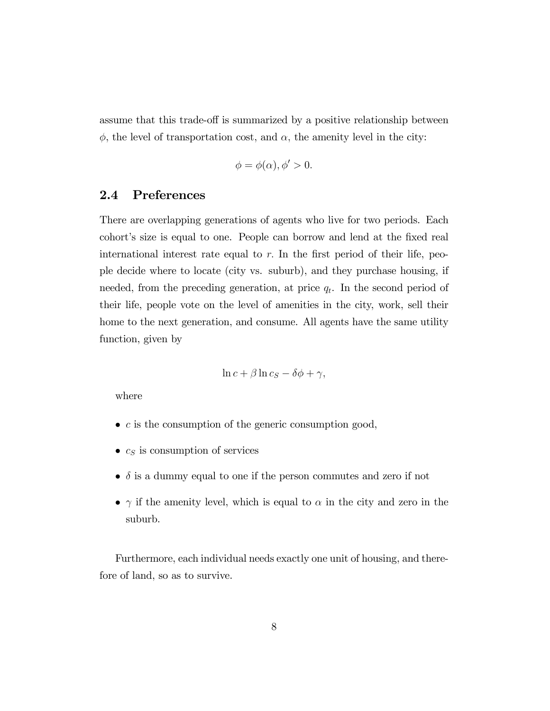assume that this trade-off is summarized by a positive relationship between  $\phi$ , the level of transportation cost, and  $\alpha$ , the amenity level in the city:

$$
\phi = \phi(\alpha), \phi' > 0.
$$

#### 2.4 Preferences

There are overlapping generations of agents who live for two periods. Each cohort's size is equal to one. People can borrow and lend at the fixed real international interest rate equal to  $r$ . In the first period of their life, people decide where to locate (city vs. suburb), and they purchase housing, if needed, from the preceding generation, at price  $q_t$ . In the second period of their life, people vote on the level of amenities in the city, work, sell their home to the next generation, and consume. All agents have the same utility function, given by

$$
\ln c + \beta \ln c_S - \delta \phi + \gamma,
$$

where

- $\bullet$  c is the consumption of the generic consumption good,
- $c_S$  is consumption of services
- $\bullet$   $\delta$  is a dummy equal to one if the person commutes and zero if not
- $\gamma$  if the amenity level, which is equal to  $\alpha$  in the city and zero in the suburb.

Furthermore, each individual needs exactly one unit of housing, and therefore of land, so as to survive.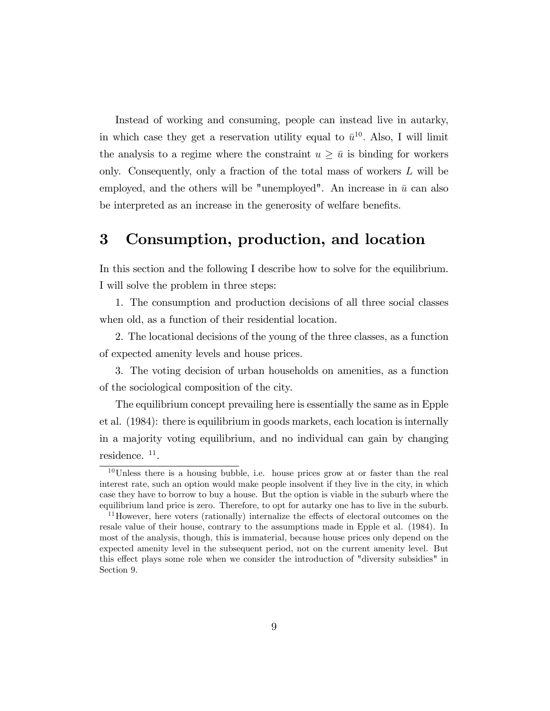Instead of working and consuming, people can instead live in autarky, in which case they get a reservation utility equal to  $\bar{u}^{10}$ . Also, I will limit the analysis to a regime where the constraint  $u \geq \bar{u}$  is binding for workers only. Consequently, only a fraction of the total mass of workers L will be employed, and the others will be "unemployed". An increase in  $\bar{u}$  can also be interpreted as an increase in the generosity of welfare benefits.

### 3 Consumption, production, and location

In this section and the following I describe how to solve for the equilibrium. I will solve the problem in three steps:

1. The consumption and production decisions of all three social classes when old, as a function of their residential location.

2. The locational decisions of the young of the three classes, as a function of expected amenity levels and house prices.

3. The voting decision of urban households on amenities, as a function of the sociological composition of the city.

The equilibrium concept prevailing here is essentially the same as in Epple et al. (1984): there is equilibrium in goods markets, each location is internally in a majority voting equilibrium, and no individual can gain by changing residence.<sup>11</sup>.

<sup>&</sup>lt;sup>10</sup>Unless there is a housing bubble, i.e. house prices grow at or faster than the real interest rate, such an option would make people insolvent if they live in the city, in which case they have to borrow to buy a house. But the option is viable in the suburb where the equilibrium land price is zero. Therefore, to opt for autarky one has to live in the suburb.

 $11$ However, here voters (rationally) internalize the effects of electoral outcomes on the resale value of their house, contrary to the assumptions made in Epple et al. (1984). In most of the analysis, though, this is immaterial, because house prices only depend on the expected amenity level in the subsequent period, not on the current amenity level. But this effect plays some role when we consider the introduction of "diversity subsidies" in Section 9.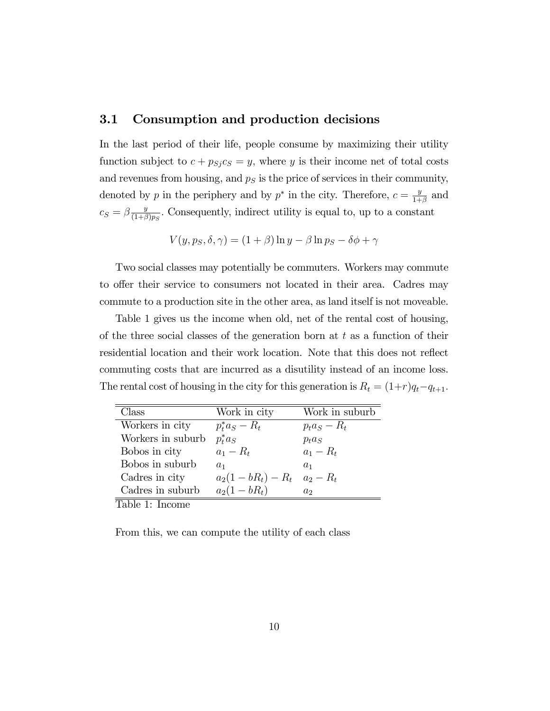#### 3.1 Consumption and production decisions

In the last period of their life, people consume by maximizing their utility function subject to  $c + p_{Sj} c_S = y$ , where y is their income net of total costs and revenues from housing, and  $p<sub>S</sub>$  is the price of services in their community, denoted by p in the periphery and by  $p^*$  in the city. Therefore,  $c = \frac{y}{1+y}$  $\frac{y}{1+\beta}$  and  $c_S = \beta \frac{y}{(1+\beta)}$  $\frac{y}{(1+\beta)p_S}$ . Consequently, indirect utility is equal to, up to a constant

$$
V(y, ps, \delta, \gamma) = (1 + \beta) \ln y - \beta \ln p_S - \delta \phi + \gamma
$$

Two social classes may potentially be commuters. Workers may commute to offer their service to consumers not located in their area. Cadres may commute to a production site in the other area, as land itself is not moveable.

Table 1 gives us the income when old, net of the rental cost of housing, of the three social classes of the generation born at  $t$  as a function of their residential location and their work location. Note that this does not reflect commuting costs that are incurred as a disutility instead of an income loss. The rental cost of housing in the city for this generation is  $R_t = (1+r)q_t-q_{t+1}$ .

| Class             | Work in city        | Work in suburb  |
|-------------------|---------------------|-----------------|
| Workers in city   | $p_t^* a_S - R_t$   | $p_t a_S - R_t$ |
| Workers in suburb | $p_t^* a_S$         | $p_t a_S$       |
| Bobos in city     | $a_1 - R_t$         | $a_1 - R_t$     |
| Bobos in suburb   | a <sub>1</sub>      | $a_1$           |
| Cadres in city    | $a_2(1-bR_t) - R_t$ | $a_2 - R_t$     |
| Cadres in suburb  | $a_2(1-bR_t)$       | a <sub>2</sub>  |

Table 1: Income

From this, we can compute the utility of each class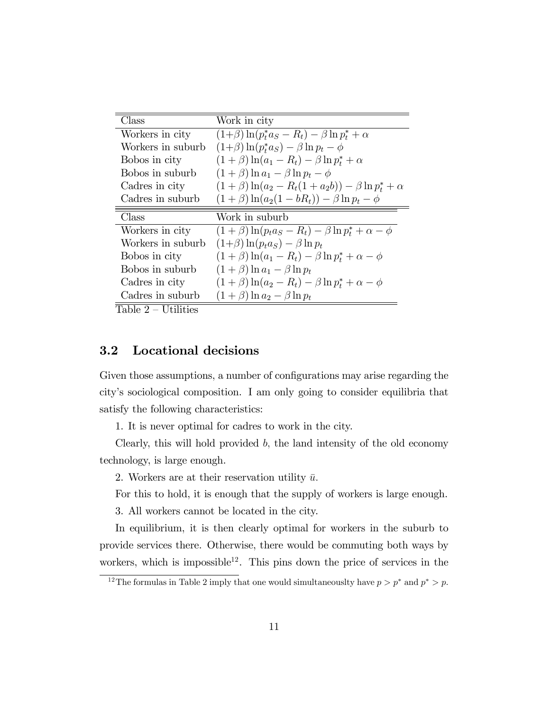| Class             | Work in city                                                    |
|-------------------|-----------------------------------------------------------------|
| Workers in city   | $(1+\beta)\ln(p_t^*a_S - R_t) - \beta \ln p_t^* + \alpha$       |
| Workers in suburb | $(1+\beta)\ln(p_t^*a_S) - \beta\ln p_t - \phi$                  |
| Bobos in city     | $(1+\beta)\ln(a_1-R_t)-\beta\ln p_t^*+\alpha$                   |
| Bobos in suburb   | $(1+\beta)\ln a_1 - \beta \ln p_t - \phi$                       |
| Cadres in city    | $(1+\beta)\ln(a_2 - R_t(1+a_2b)) - \beta \ln p_t^* + \alpha$    |
| Cadres in suburb  | $(1+\beta)\ln(a_2(1-bR_t)) - \beta\ln p_t - \phi$               |
|                   |                                                                 |
| Class             | Work in suburb                                                  |
| Workers in city   | $(1+\beta)\ln(p_t a_S - R_t) - \beta \ln p_t^* + \alpha - \phi$ |
| Workers in suburb | $(1+\beta)\ln(p_t a_S) - \beta \ln p_t$                         |
| Bobos in city     | $(1+\beta)\ln(a_1-R_t)-\beta\ln p_t^*+\alpha-\phi$              |
| Bobos in suburb   | $(1+\beta)\ln a_1 - \beta \ln p_t$                              |
| Cadres in city    | $(1+\beta)\ln(a_2-R_t)-\beta\ln p_t^*+\alpha-\phi$              |
| Cadres in suburb  | $(1+\beta)\ln a_2 - \beta \ln p_t$                              |

 $Table 2 - Utilities$ 

#### 3.2 Locational decisions

Given those assumptions, a number of configurations may arise regarding the cityís sociological composition. I am only going to consider equilibria that satisfy the following characteristics:

1. It is never optimal for cadres to work in the city.

Clearly, this will hold provided  $b$ , the land intensity of the old economy technology, is large enough.

2. Workers are at their reservation utility  $\bar{u}$ .

For this to hold, it is enough that the supply of workers is large enough.

3. All workers cannot be located in the city.

In equilibrium, it is then clearly optimal for workers in the suburb to provide services there. Otherwise, there would be commuting both ways by workers, which is impossible<sup>12</sup>. This pins down the price of services in the

<sup>&</sup>lt;sup>12</sup>The formulas in Table 2 imply that one would simultaneouslty have  $p > p^*$  and  $p^* > p$ .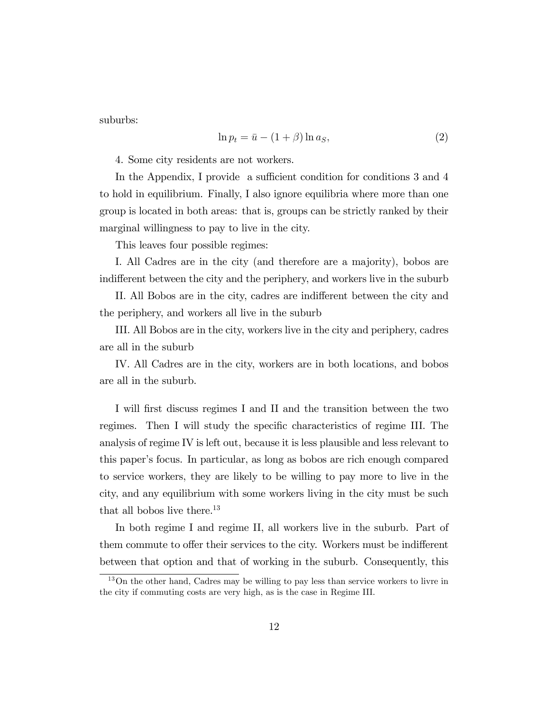suburbs:

$$
\ln p_t = \bar{u} - (1 + \beta) \ln a_S,\tag{2}
$$

4. Some city residents are not workers.

In the Appendix, I provide a sufficient condition for conditions 3 and 4 to hold in equilibrium. Finally, I also ignore equilibria where more than one group is located in both areas: that is, groups can be strictly ranked by their marginal willingness to pay to live in the city.

This leaves four possible regimes:

I. All Cadres are in the city (and therefore are a majority), bobos are indifferent between the city and the periphery, and workers live in the suburb

II. All Bobos are in the city, cadres are indifferent between the city and the periphery, and workers all live in the suburb

III. All Bobos are in the city, workers live in the city and periphery, cadres are all in the suburb

IV. All Cadres are in the city, workers are in both locations, and bobos are all in the suburb.

I will first discuss regimes I and II and the transition between the two regimes. Then I will study the specific characteristics of regime III. The analysis of regime IV is left out, because it is less plausible and less relevant to this paperís focus. In particular, as long as bobos are rich enough compared to service workers, they are likely to be willing to pay more to live in the city, and any equilibrium with some workers living in the city must be such that all bobos live there. $13$ 

In both regime I and regime II, all workers live in the suburb. Part of them commute to offer their services to the city. Workers must be indifferent between that option and that of working in the suburb. Consequently, this

<sup>13</sup>On the other hand, Cadres may be willing to pay less than service workers to livre in the city if commuting costs are very high, as is the case in Regime III.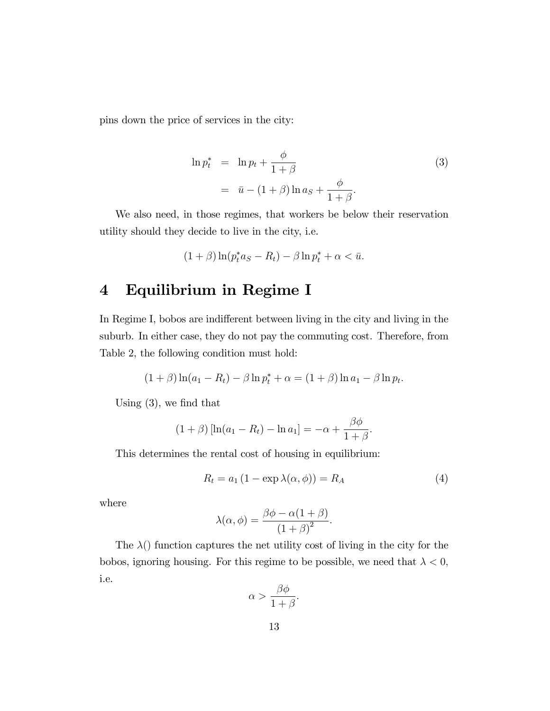pins down the price of services in the city:

$$
\ln p_t^* = \ln p_t + \frac{\phi}{1+\beta}
$$
  
=  $\bar{u} - (1+\beta)\ln a_s + \frac{\phi}{1+\beta}.$  (3)

We also need, in those regimes, that workers be below their reservation utility should they decide to live in the city, i.e.

$$
(1+\beta)\ln(p_t^*a_S - R_t) - \beta\ln p_t^* + \alpha < \bar{u}.
$$

### 4 Equilibrium in Regime I

In Regime I, bobos are indifferent between living in the city and living in the suburb. In either case, they do not pay the commuting cost. Therefore, from Table 2, the following condition must hold:

$$
(1 + \beta) \ln(a_1 - R_t) - \beta \ln p_t^* + \alpha = (1 + \beta) \ln a_1 - \beta \ln p_t.
$$

Using  $(3)$ , we find that

$$
(1 + \beta) [\ln(a_1 - R_t) - \ln a_1] = -\alpha + \frac{\beta \phi}{1 + \beta}
$$

This determines the rental cost of housing in equilibrium:

$$
R_t = a_1 (1 - \exp \lambda(\alpha, \phi)) = R_A \tag{4}
$$

:

where

$$
\lambda(\alpha,\phi) = \frac{\beta\phi - \alpha(1+\beta)}{(1+\beta)^2}.
$$

The  $\lambda$ () function captures the net utility cost of living in the city for the bobos, ignoring housing. For this regime to be possible, we need that  $\lambda < 0$ , i.e.

$$
\alpha > \frac{\beta \phi}{1+\beta}.
$$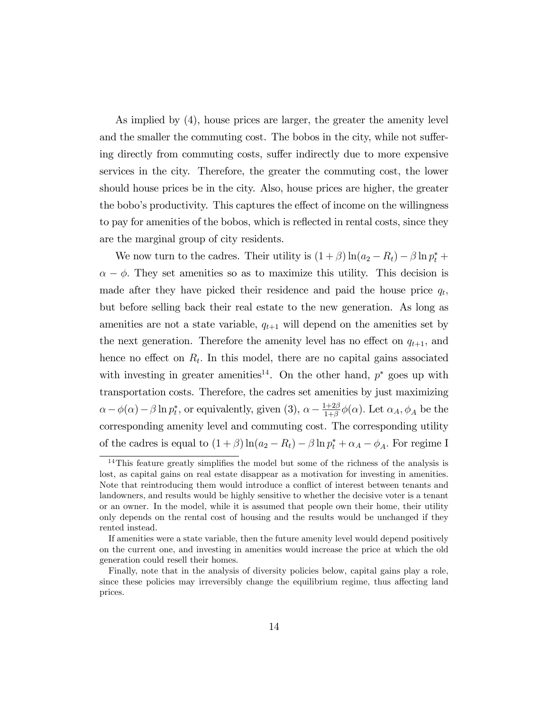As implied by (4), house prices are larger, the greater the amenity level and the smaller the commuting cost. The bobos in the city, while not suffering directly from commuting costs, suffer indirectly due to more expensive services in the city. Therefore, the greater the commuting cost, the lower should house prices be in the city. Also, house prices are higher, the greater the bobo's productivity. This captures the effect of income on the willingness to pay for amenities of the bobos, which is reflected in rental costs, since they are the marginal group of city residents.

We now turn to the cadres. Their utility is  $(1 + \beta) \ln(a_2 - R_t) - \beta \ln p_t^* +$  $\alpha - \phi$ . They set amenities so as to maximize this utility. This decision is made after they have picked their residence and paid the house price  $q_t$ , but before selling back their real estate to the new generation. As long as amenities are not a state variable,  $q_{t+1}$  will depend on the amenities set by the next generation. Therefore the amenity level has no effect on  $q_{t+1}$ , and hence no effect on  $R_t$ . In this model, there are no capital gains associated with investing in greater amenities<sup>14</sup>. On the other hand,  $p^*$  goes up with transportation costs. Therefore, the cadres set amenities by just maximizing  $\alpha - \phi(\alpha) - \beta \ln p_t^*$ , or equivalently, given (3),  $\alpha - \frac{1+2\beta}{1+\beta}$  $\frac{1+2\beta}{1+\beta}\phi(\alpha)$ . Let  $\alpha_A, \phi_A$  be the corresponding amenity level and commuting cost. The corresponding utility of the cadres is equal to  $(1 + \beta) \ln(a_2 - R_t) - \beta \ln p_t^* + \alpha_A - \phi_A$ . For regime I

 $14$ This feature greatly simplifies the model but some of the richness of the analysis is lost, as capital gains on real estate disappear as a motivation for investing in amenities. Note that reintroducing them would introduce a conflict of interest between tenants and landowners, and results would be highly sensitive to whether the decisive voter is a tenant or an owner. In the model, while it is assumed that people own their home, their utility only depends on the rental cost of housing and the results would be unchanged if they rented instead.

If amenities were a state variable, then the future amenity level would depend positively on the current one, and investing in amenities would increase the price at which the old generation could resell their homes.

Finally, note that in the analysis of diversity policies below, capital gains play a role, since these policies may irreversibly change the equilibrium regime, thus affecting land prices.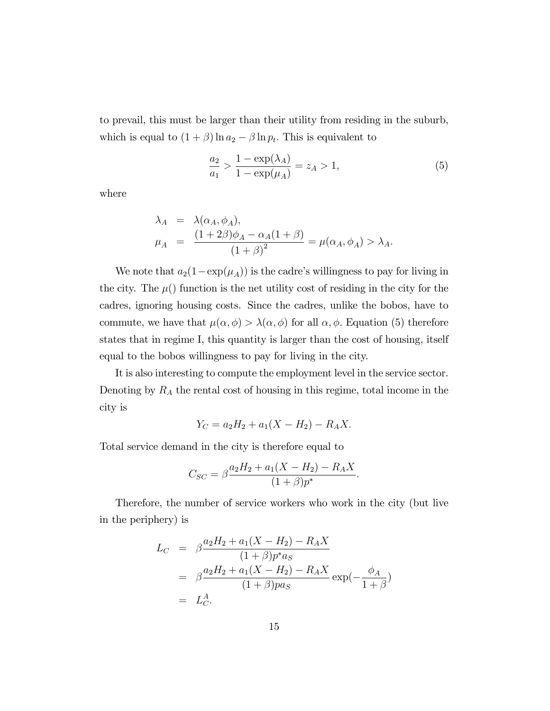to prevail, this must be larger than their utility from residing in the suburb, which is equal to  $(1 + \beta) \ln a_2 - \beta \ln p_t$ . This is equivalent to

$$
\frac{a_2}{a_1} > \frac{1 - \exp(\lambda_A)}{1 - \exp(\mu_A)} = z_A > 1,
$$
\n(5)

where

$$
\lambda_A = \lambda(\alpha_A, \phi_A),
$$
  
\n
$$
\mu_A = \frac{(1+2\beta)\phi_A - \alpha_A(1+\beta)}{(1+\beta)^2} = \mu(\alpha_A, \phi_A) > \lambda_A.
$$

We note that  $a_2(1-\exp(\mu_A))$  is the cadre's willingness to pay for living in the city. The  $\mu$ () function is the net utility cost of residing in the city for the cadres, ignoring housing costs. Since the cadres, unlike the bobos, have to commute, we have that  $\mu(\alpha, \phi) > \lambda(\alpha, \phi)$  for all  $\alpha, \phi$ . Equation (5) therefore states that in regime I, this quantity is larger than the cost of housing, itself equal to the bobos willingness to pay for living in the city.

It is also interesting to compute the employment level in the service sector. Denoting by  $R_A$  the rental cost of housing in this regime, total income in the city is

$$
Y_C = a_2 H_2 + a_1 (X - H_2) - R_A X.
$$

Total service demand in the city is therefore equal to

$$
C_{SC} = \beta \frac{a_2 H_2 + a_1 (X - H_2) - R_A X}{(1 + \beta)p^*}.
$$

Therefore, the number of service workers who work in the city (but live in the periphery) is

$$
L_C = \beta \frac{a_2 H_2 + a_1 (X - H_2) - R_A X}{(1 + \beta) p^* a_S}
$$
  
=  $\beta \frac{a_2 H_2 + a_1 (X - H_2) - R_A X}{(1 + \beta) p a_S} \exp(-\frac{\phi_A}{1 + \beta})$   
=  $L_C^A$ .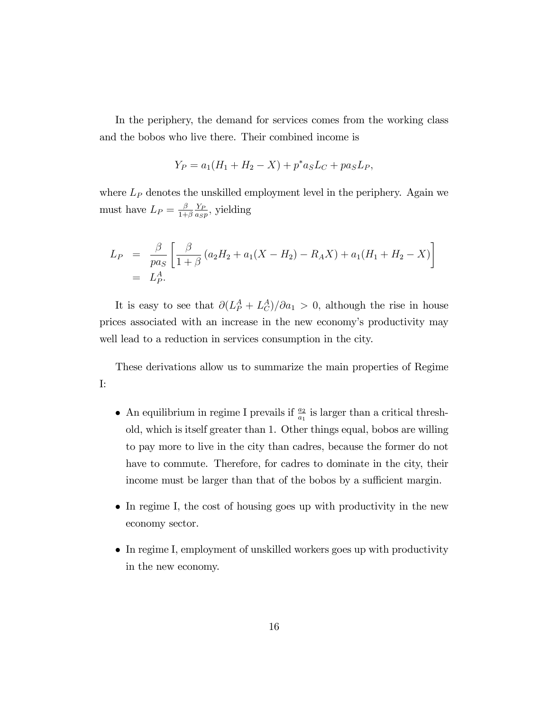In the periphery, the demand for services comes from the working class and the bobos who live there. Their combined income is

$$
Y_P = a_1(H_1 + H_2 - X) + p^* a_S L_C + p a_S L_P,
$$

where  $L_P$  denotes the unskilled employment level in the periphery. Again we must have  $L_P = \frac{\beta}{1+\beta}$  $1+\beta$  $Y_F$  $\frac{Y_P}{a_S p}$ , yielding

$$
L_P = \frac{\beta}{pa_S} \left[ \frac{\beta}{1+\beta} (a_2 H_2 + a_1 (X - H_2) - R_A X) + a_1 (H_1 + H_2 - X) \right]
$$
  
=  $L_P^A$ .

It is easy to see that  $\partial (L_P^A + L_C^A)/\partial a_1 > 0$ , although the rise in house prices associated with an increase in the new economyís productivity may well lead to a reduction in services consumption in the city.

These derivations allow us to summarize the main properties of Regime I:

- An equilibrium in regime I prevails if  $\frac{a_2}{a_1}$  is larger than a critical threshold, which is itself greater than 1. Other things equal, bobos are willing to pay more to live in the city than cadres, because the former do not have to commute. Therefore, for cadres to dominate in the city, their income must be larger than that of the bobos by a sufficient margin.
- In regime I, the cost of housing goes up with productivity in the new economy sector.
- In regime I, employment of unskilled workers goes up with productivity in the new economy.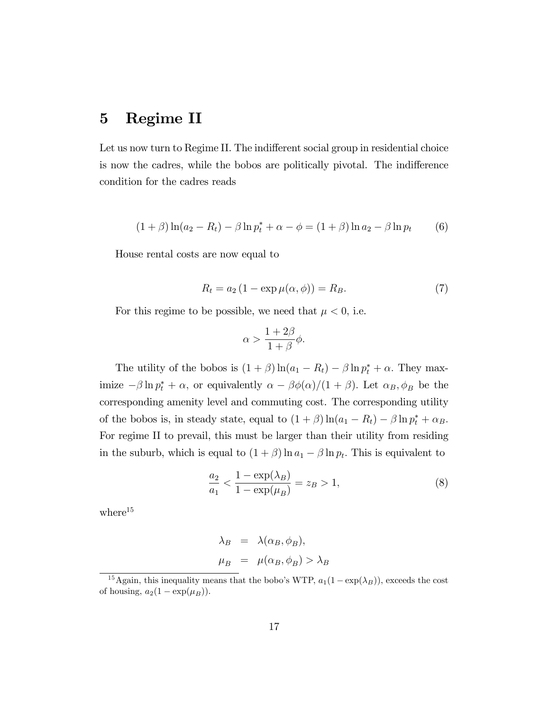### 5 Regime II

Let us now turn to Regime II. The indifferent social group in residential choice is now the cadres, while the bobos are politically pivotal. The indifference condition for the cadres reads

$$
(1 + \beta) \ln(a_2 - R_t) - \beta \ln p_t^* + \alpha - \phi = (1 + \beta) \ln a_2 - \beta \ln p_t \tag{6}
$$

House rental costs are now equal to

$$
R_t = a_2 \left( 1 - \exp \mu(\alpha, \phi) \right) = R_B. \tag{7}
$$

For this regime to be possible, we need that  $\mu < 0$ , i.e.

$$
\alpha > \frac{1+2\beta}{1+\beta}\phi.
$$

The utility of the bobos is  $(1 + \beta) \ln(a_1 - R_t) - \beta \ln p_t^* + \alpha$ . They maximize  $-\beta \ln p_t^* + \alpha$ , or equivalently  $\alpha - \beta \phi(\alpha)/(1 + \beta)$ . Let  $\alpha_B, \phi_B$  be the corresponding amenity level and commuting cost. The corresponding utility of the bobos is, in steady state, equal to  $(1 + \beta) \ln(a_1 - R_t) - \beta \ln p_t^* + \alpha_B$ . For regime II to prevail, this must be larger than their utility from residing in the suburb, which is equal to  $(1 + \beta) \ln a_1 - \beta \ln p_t$ . This is equivalent to

$$
\frac{a_2}{a_1} < \frac{1 - \exp(\lambda_B)}{1 - \exp(\mu_B)} = z_B > 1,\tag{8}
$$

where $15$ 

$$
\lambda_B = \lambda(\alpha_B, \phi_B),
$$
  

$$
\mu_B = \mu(\alpha_B, \phi_B) > \lambda_B
$$

<sup>&</sup>lt;sup>15</sup>Again, this inequality means that the bobo's WTP,  $a_1(1 - \exp(\lambda_B))$ , exceeds the cost of housing,  $a_2(1 - \exp(\mu_B)).$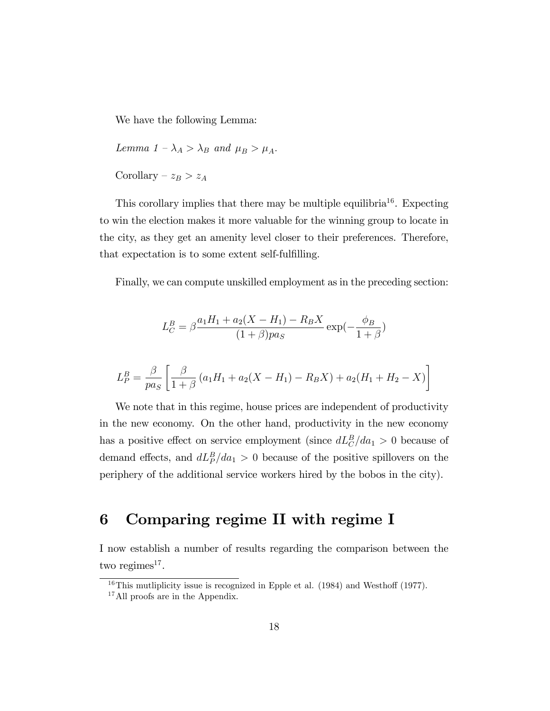We have the following Lemma:

Lemma  $1 - \lambda_A > \lambda_B$  and  $\mu_B > \mu_A$ .

Corollary –  $z_B > z_A$ 

This corollary implies that there may be multiple equilibria<sup>16</sup>. Expecting to win the election makes it more valuable for the winning group to locate in the city, as they get an amenity level closer to their preferences. Therefore, that expectation is to some extent self-fulfilling.

Finally, we can compute unskilled employment as in the preceding section:

$$
L_C^B = \beta \frac{a_1 H_1 + a_2 (X - H_1) - R_B X}{(1 + \beta) p a_S} \exp(-\frac{\phi_B}{1 + \beta})
$$

$$
L_P^B = \frac{\beta}{p a_S} \left[ \frac{\beta}{1+\beta} \left( a_1 H_1 + a_2 (X - H_1) - R_B X \right) + a_2 (H_1 + H_2 - X) \right]
$$

We note that in this regime, house prices are independent of productivity in the new economy. On the other hand, productivity in the new economy has a positive effect on service employment (since  $dL_C^B/da_1 > 0$  because of demand effects, and  $dL_P^B/da_1 > 0$  because of the positive spillovers on the periphery of the additional service workers hired by the bobos in the city).

### 6 Comparing regime II with regime I

I now establish a number of results regarding the comparison between the two regimes<sup>17</sup>.

 $16$ This mutliplicity issue is recognized in Epple et al. (1984) and Westhoff (1977).

<sup>&</sup>lt;sup>17</sup>All proofs are in the Appendix.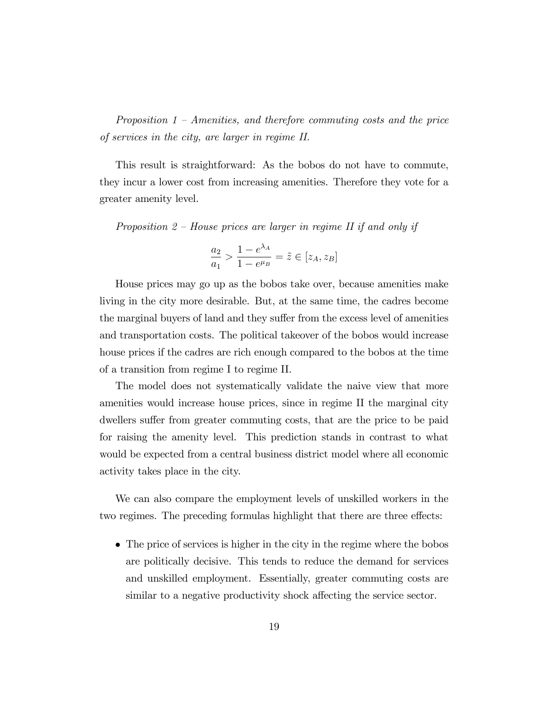Proposition  $1$  – Amenities, and therefore commuting costs and the price of services in the city, are larger in regime II.

This result is straightforward: As the bobos do not have to commute, they incur a lower cost from increasing amenities. Therefore they vote for a greater amenity level.

Proposition  $2$  – House prices are larger in regime II if and only if

$$
\frac{a_2}{a_1} > \frac{1 - e^{\lambda_A}}{1 - e^{\mu_B}} = \tilde{z} \in [z_A, z_B]
$$

House prices may go up as the bobos take over, because amenities make living in the city more desirable. But, at the same time, the cadres become the marginal buyers of land and they suffer from the excess level of amenities and transportation costs. The political takeover of the bobos would increase house prices if the cadres are rich enough compared to the bobos at the time of a transition from regime I to regime II.

The model does not systematically validate the naive view that more amenities would increase house prices, since in regime II the marginal city dwellers suffer from greater commuting costs, that are the price to be paid for raising the amenity level. This prediction stands in contrast to what would be expected from a central business district model where all economic activity takes place in the city.

We can also compare the employment levels of unskilled workers in the two regimes. The preceding formulas highlight that there are three effects:

 The price of services is higher in the city in the regime where the bobos are politically decisive. This tends to reduce the demand for services and unskilled employment. Essentially, greater commuting costs are similar to a negative productivity shock affecting the service sector.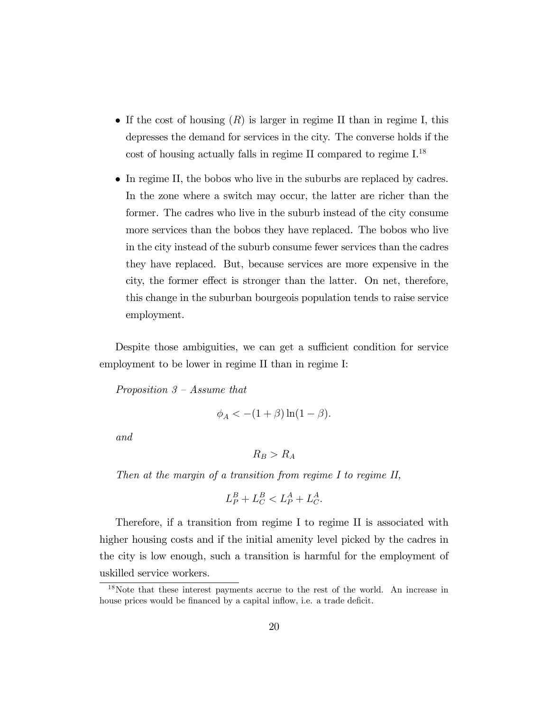- If the cost of housing  $(R)$  is larger in regime II than in regime I, this depresses the demand for services in the city. The converse holds if the cost of housing actually falls in regime II compared to regime I.<sup>18</sup>
- In regime II, the bobos who live in the suburbs are replaced by cadres. In the zone where a switch may occur, the latter are richer than the former. The cadres who live in the suburb instead of the city consume more services than the bobos they have replaced. The bobos who live in the city instead of the suburb consume fewer services than the cadres they have replaced. But, because services are more expensive in the city, the former effect is stronger than the latter. On net, therefore, this change in the suburban bourgeois population tends to raise service employment.

Despite those ambiguities, we can get a sufficient condition for service employment to be lower in regime II than in regime I:

Proposition  $3 - Assume that$ 

$$
\phi_A < -(1+\beta)\ln(1-\beta).
$$

and

$$
R_B > R_A
$$

Then at the margin of a transition from regime I to regime II,

$$
L_P^B + L_C^B < L_P^A + L_C^A.
$$

Therefore, if a transition from regime I to regime II is associated with higher housing costs and if the initial amenity level picked by the cadres in the city is low enough, such a transition is harmful for the employment of uskilled service workers.

<sup>&</sup>lt;sup>18</sup>Note that these interest payments accrue to the rest of the world. An increase in house prices would be financed by a capital inflow, i.e. a trade deficit.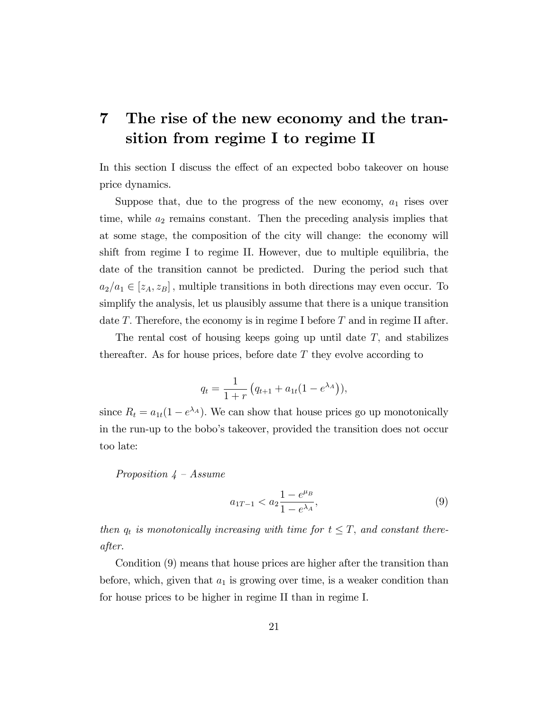# 7 The rise of the new economy and the transition from regime I to regime II

In this section I discuss the effect of an expected bobo takeover on house price dynamics.

Suppose that, due to the progress of the new economy,  $a_1$  rises over time, while  $a_2$  remains constant. Then the preceding analysis implies that at some stage, the composition of the city will change: the economy will shift from regime I to regime II. However, due to multiple equilibria, the date of the transition cannot be predicted. During the period such that  $a_2/a_1 \in [z_A, z_B]$ , multiple transitions in both directions may even occur. To simplify the analysis, let us plausibly assume that there is a unique transition date T. Therefore, the economy is in regime I before  $T$  and in regime II after.

The rental cost of housing keeps going up until date  $T$ , and stabilizes thereafter. As for house prices, before date  $T$  they evolve according to

$$
q_t = \frac{1}{1+r} (q_{t+1} + a_{1t}(1 - e^{\lambda_A})),
$$

since  $R_t = a_{1t}(1 - e^{\lambda_A})$ . We can show that house prices go up monotonically in the run-up to the boboís takeover, provided the transition does not occur too late:

Proposition  $4 - Assume$ 

$$
a_{1T-1} < a_2 \frac{1 - e^{\mu_B}}{1 - e^{\lambda_A}},\tag{9}
$$

then  $q_t$  is monotonically increasing with time for  $t \leq T$ , and constant thereafter.

Condition (9) means that house prices are higher after the transition than before, which, given that  $a_1$  is growing over time, is a weaker condition than for house prices to be higher in regime II than in regime I.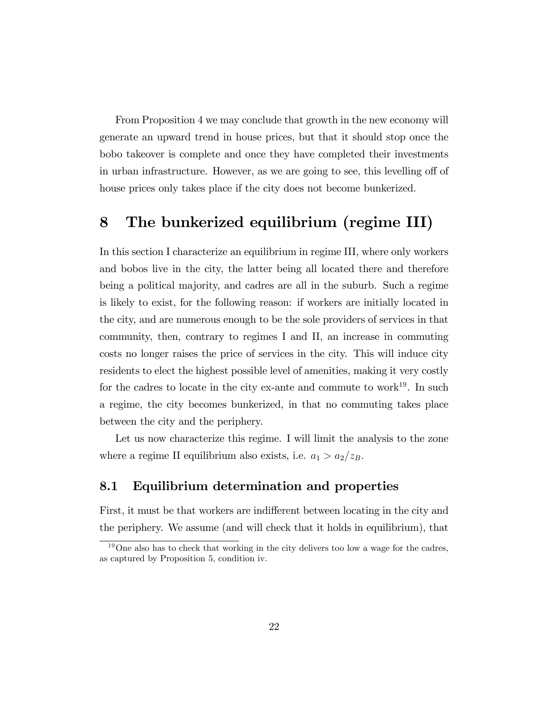From Proposition 4 we may conclude that growth in the new economy will generate an upward trend in house prices, but that it should stop once the bobo takeover is complete and once they have completed their investments in urban infrastructure. However, as we are going to see, this levelling off of house prices only takes place if the city does not become bunkerized.

### 8 The bunkerized equilibrium (regime III)

In this section I characterize an equilibrium in regime III, where only workers and bobos live in the city, the latter being all located there and therefore being a political majority, and cadres are all in the suburb. Such a regime is likely to exist, for the following reason: if workers are initially located in the city, and are numerous enough to be the sole providers of services in that community, then, contrary to regimes I and II, an increase in commuting costs no longer raises the price of services in the city. This will induce city residents to elect the highest possible level of amenities, making it very costly for the cadres to locate in the city ex-ante and commute to work<sup>19</sup>. In such a regime, the city becomes bunkerized, in that no commuting takes place between the city and the periphery.

Let us now characterize this regime. I will limit the analysis to the zone where a regime II equilibrium also exists, i.e.  $a_1 > a_2/z_B$ .

#### 8.1 Equilibrium determination and properties

First, it must be that workers are indifferent between locating in the city and the periphery. We assume (and will check that it holds in equilibrium), that

<sup>&</sup>lt;sup>19</sup>One also has to check that working in the city delivers too low a wage for the cadres, as captured by Proposition 5, condition iv.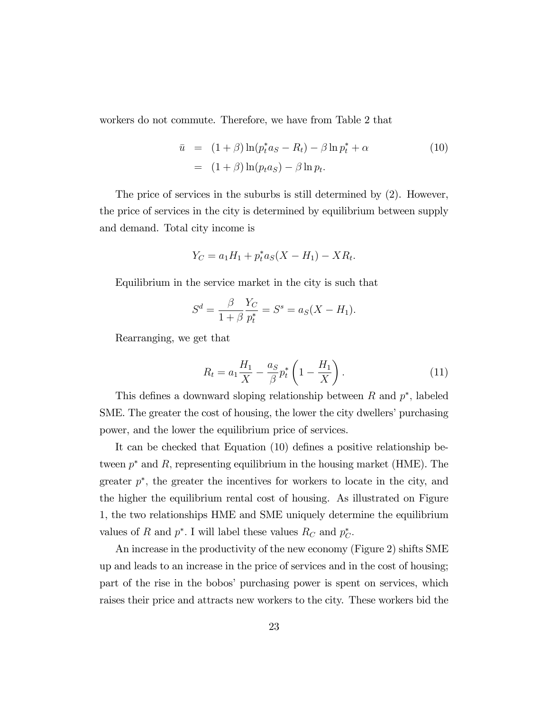workers do not commute. Therefore, we have from Table 2 that

$$
\bar{u} = (1+\beta)\ln(p_t^*a_S - R_t) - \beta \ln p_t^* + \alpha \qquad (10)
$$

$$
= (1+\beta)\ln(p_t a_S) - \beta \ln p_t.
$$

The price of services in the suburbs is still determined by (2). However, the price of services in the city is determined by equilibrium between supply and demand. Total city income is

$$
Y_C = a_1 H_1 + p_t^* a_S (X - H_1) - X R_t.
$$

Equilibrium in the service market in the city is such that

$$
S^{d} = \frac{\beta}{1+\beta} \frac{Y_C}{p_t^*} = S^s = a_S(X - H_1).
$$

Rearranging, we get that

$$
R_t = a_1 \frac{H_1}{X} - \frac{a_S}{\beta} p_t^* \left( 1 - \frac{H_1}{X} \right). \tag{11}
$$

This defines a downward sloping relationship between  $R$  and  $p^*$ , labeled SME. The greater the cost of housing, the lower the city dwellers' purchasing power, and the lower the equilibrium price of services.

It can be checked that Equation (10) defines a positive relationship between  $p^*$  and R, representing equilibrium in the housing market (HME). The greater  $p^*$ , the greater the incentives for workers to locate in the city, and the higher the equilibrium rental cost of housing. As illustrated on Figure 1, the two relationships HME and SME uniquely determine the equilibrium values of R and  $p^*$ . I will label these values  $R_C$  and  $p^*_{C}$ .

An increase in the productivity of the new economy (Figure 2) shifts SME up and leads to an increase in the price of services and in the cost of housing; part of the rise in the bobos' purchasing power is spent on services, which raises their price and attracts new workers to the city. These workers bid the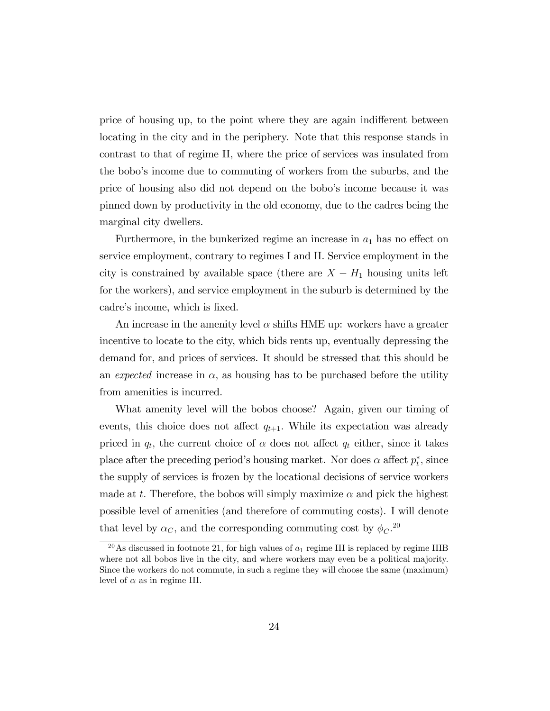price of housing up, to the point where they are again indifferent between locating in the city and in the periphery. Note that this response stands in contrast to that of regime II, where the price of services was insulated from the boboís income due to commuting of workers from the suburbs, and the price of housing also did not depend on the boboís income because it was pinned down by productivity in the old economy, due to the cadres being the marginal city dwellers.

Furthermore, in the bunkerized regime an increase in  $a_1$  has no effect on service employment, contrary to regimes I and II. Service employment in the city is constrained by available space (there are  $X - H_1$  housing units left for the workers), and service employment in the suburb is determined by the cadre's income, which is fixed.

An increase in the amenity level  $\alpha$  shifts HME up: workers have a greater incentive to locate to the city, which bids rents up, eventually depressing the demand for, and prices of services. It should be stressed that this should be an expected increase in  $\alpha$ , as housing has to be purchased before the utility from amenities is incurred.

What amenity level will the bobos choose? Again, given our timing of events, this choice does not affect  $q_{t+1}$ . While its expectation was already priced in  $q_t$ , the current choice of  $\alpha$  does not affect  $q_t$  either, since it takes place after the preceding period's housing market. Nor does  $\alpha$  affect  $p_t^*$ , since the supply of services is frozen by the locational decisions of service workers made at t. Therefore, the bobos will simply maximize  $\alpha$  and pick the highest possible level of amenities (and therefore of commuting costs). I will denote that level by  $\alpha_C$ , and the corresponding commuting cost by  $\phi_C$ <sup>20</sup>

<sup>&</sup>lt;sup>20</sup>As discussed in footnote 21, for high values of  $a_1$  regime III is replaced by regime IIIB where not all bobos live in the city, and where workers may even be a political majority. Since the workers do not commute, in such a regime they will choose the same (maximum) level of  $\alpha$  as in regime III.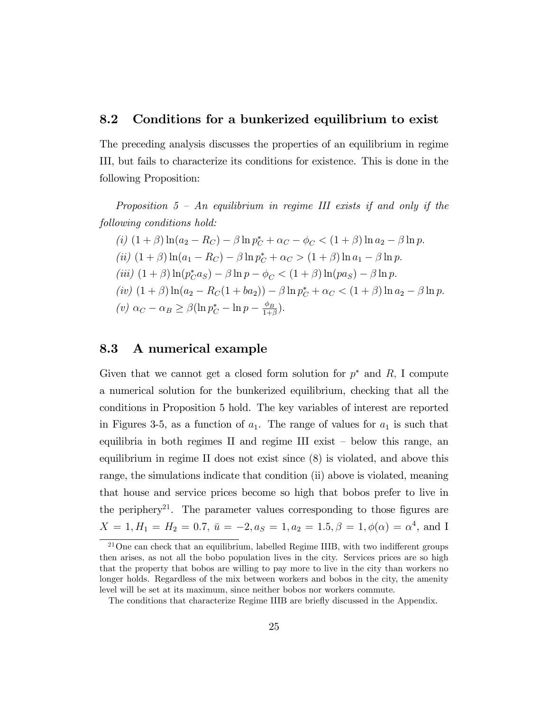#### 8.2 Conditions for a bunkerized equilibrium to exist

The preceding analysis discusses the properties of an equilibrium in regime III, but fails to characterize its conditions for existence. This is done in the following Proposition:

Proposition  $5$  – An equilibrium in regime III exists if and only if the following conditions hold:

(i) 
$$
(1 + \beta) \ln(a_2 - R_C) - \beta \ln p_C^* + \alpha_C - \phi_C < (1 + \beta) \ln a_2 - \beta \ln p
$$
.  
\n(ii)  $(1 + \beta) \ln(a_1 - R_C) - \beta \ln p_C^* + \alpha_C > (1 + \beta) \ln a_1 - \beta \ln p$ .  
\n(iii)  $(1 + \beta) \ln(p_C^* a_S) - \beta \ln p - \phi_C < (1 + \beta) \ln(p a_S) - \beta \ln p$ .  
\n(iv)  $(1 + \beta) \ln(a_2 - R_C(1 + ba_2)) - \beta \ln p_C^* + \alpha_C < (1 + \beta) \ln a_2 - \beta \ln p$ .  
\n(v)  $\alpha_C - \alpha_B \ge \beta (\ln p_C^* - \ln p - \frac{\phi_B}{1 + \beta})$ .

#### 8.3 A numerical example

Given that we cannot get a closed form solution for  $p^*$  and  $R$ , I compute a numerical solution for the bunkerized equilibrium, checking that all the conditions in Proposition 5 hold. The key variables of interest are reported in Figures 3-5, as a function of  $a_1$ . The range of values for  $a_1$  is such that equilibria in both regimes II and regime III exist  $-$  below this range, an equilibrium in regime II does not exist since (8) is violated, and above this range, the simulations indicate that condition (ii) above is violated, meaning that house and service prices become so high that bobos prefer to live in the periphery<sup>21</sup>. The parameter values corresponding to those figures are  $X = 1, H_1 = H_2 = 0.7, \, \bar{u} = -2, a_S = 1, a_2 = 1.5, \beta = 1, \phi(\alpha) = \alpha^4$ , and I

 $21$ One can check that an equilibrium, labelled Regime IIIB, with two indifferent groups then arises, as not all the bobo population lives in the city. Services prices are so high that the property that bobos are willing to pay more to live in the city than workers no longer holds. Regardless of the mix between workers and bobos in the city, the amenity level will be set at its maximum, since neither bobos nor workers commute.

The conditions that characterize Regime IIIB are briefly discussed in the Appendix.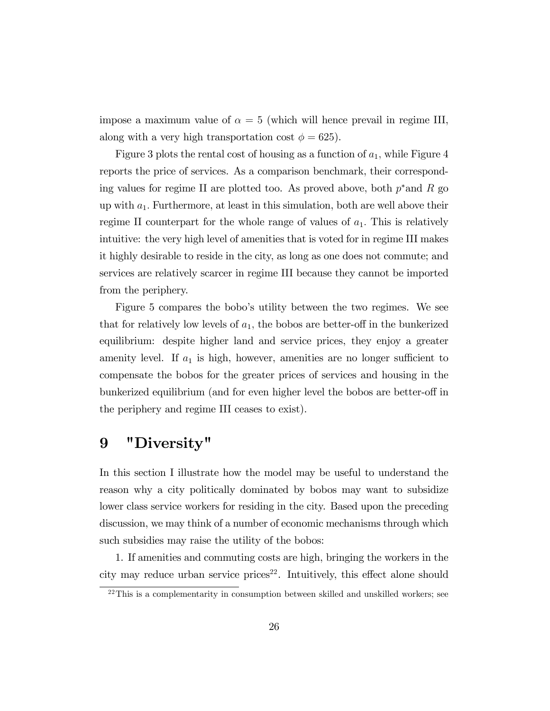impose a maximum value of  $\alpha = 5$  (which will hence prevail in regime III, along with a very high transportation cost  $\phi = 625$ .

Figure 3 plots the rental cost of housing as a function of  $a_1$ , while Figure 4 reports the price of services. As a comparison benchmark, their corresponding values for regime II are plotted too. As proved above, both  $p^*$  and R go up with  $a_1$ . Furthermore, at least in this simulation, both are well above their regime II counterpart for the whole range of values of  $a_1$ . This is relatively intuitive: the very high level of amenities that is voted for in regime III makes it highly desirable to reside in the city, as long as one does not commute; and services are relatively scarcer in regime III because they cannot be imported from the periphery.

Figure 5 compares the boboís utility between the two regimes. We see that for relatively low levels of  $a_1$ , the bobos are better-off in the bunkerized equilibrium: despite higher land and service prices, they enjoy a greater amenity level. If  $a_1$  is high, however, amenities are no longer sufficient to compensate the bobos for the greater prices of services and housing in the bunkerized equilibrium (and for even higher level the bobos are better-off in the periphery and regime III ceases to exist).

### 9 "Diversity"

In this section I illustrate how the model may be useful to understand the reason why a city politically dominated by bobos may want to subsidize lower class service workers for residing in the city. Based upon the preceding discussion, we may think of a number of economic mechanisms through which such subsidies may raise the utility of the bobos:

1. If amenities and commuting costs are high, bringing the workers in the city may reduce urban service prices<sup>22</sup>. Intuitively, this effect alone should

 $22$ This is a complementarity in consumption between skilled and unskilled workers; see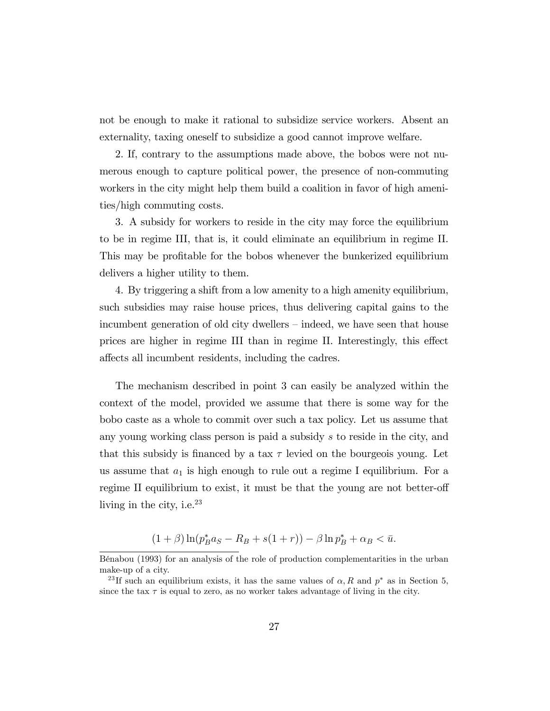not be enough to make it rational to subsidize service workers. Absent an externality, taxing oneself to subsidize a good cannot improve welfare.

2. If, contrary to the assumptions made above, the bobos were not numerous enough to capture political power, the presence of non-commuting workers in the city might help them build a coalition in favor of high amenities/high commuting costs.

3. A subsidy for workers to reside in the city may force the equilibrium to be in regime III, that is, it could eliminate an equilibrium in regime II. This may be profitable for the bobos whenever the bunkerized equilibrium delivers a higher utility to them.

4. By triggering a shift from a low amenity to a high amenity equilibrium, such subsidies may raise house prices, thus delivering capital gains to the incumbent generation of old city dwellers – indeed, we have seen that house prices are higher in regime III than in regime II. Interestingly, this effect affects all incumbent residents, including the cadres.

The mechanism described in point 3 can easily be analyzed within the context of the model, provided we assume that there is some way for the bobo caste as a whole to commit over such a tax policy. Let us assume that any young working class person is paid a subsidy s to reside in the city, and that this subsidy is financed by a tax  $\tau$  levied on the bourgeois young. Let us assume that  $a_1$  is high enough to rule out a regime I equilibrium. For a regime II equilibrium to exist, it must be that the young are not better-off living in the city, i.e. $^{23}$ 

$$
(1+\beta)\ln(p_B^*a_S - R_B + s(1+r)) - \beta\ln p_B^* + \alpha_B < \bar{u}.
$$

BÈnabou (1993) for an analysis of the role of production complementarities in the urban make-up of a city.

<sup>&</sup>lt;sup>23</sup>If such an equilibrium exists, it has the same values of  $\alpha$ , R and  $p^*$  as in Section 5, since the tax  $\tau$  is equal to zero, as no worker takes advantage of living in the city.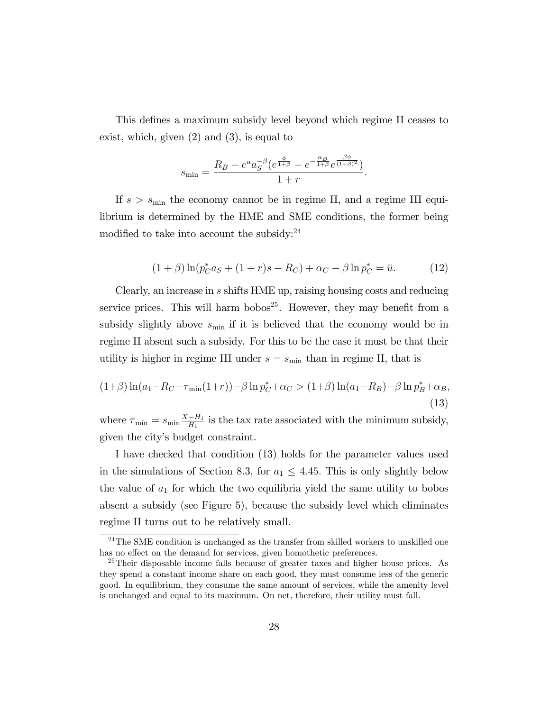This defines a maximum subsidy level beyond which regime II ceases to exist, which, given (2) and (3), is equal to

$$
s_{\min} = \frac{R_B - e^{\bar{u}} a_S^{-\beta} (e^{\frac{\phi}{1+\beta}} - e^{-\frac{\alpha_B}{1+\beta}} e^{\frac{\beta \phi}{(1+\beta)^2}})}{1+r}.
$$

If  $s > s_{\text{min}}$  the economy cannot be in regime II, and a regime III equilibrium is determined by the HME and SME conditions, the former being modified to take into account the subsidy: $^{24}$ 

$$
(1+\beta)\ln(p_C^*a_S + (1+r)s - R_C) + \alpha_C - \beta\ln p_C^* = \bar{u}.\tag{12}
$$

Clearly, an increase in s shifts HME up, raising housing costs and reducing service prices. This will harm bobos<sup>25</sup>. However, they may benefit from a subsidy slightly above  $s_{\min}$  if it is believed that the economy would be in regime II absent such a subsidy. For this to be the case it must be that their utility is higher in regime III under  $s = s_{\text{min}}$  than in regime II, that is

$$
(1+\beta)\ln(a_1 - R_C - \tau_{\min}(1+r)) - \beta \ln p_C^* + \alpha_C > (1+\beta)\ln(a_1 - R_B) - \beta \ln p_B^* + \alpha_B,
$$
\n(13)

where  $\tau_{\min} = s_{\min} \frac{X - H_1}{H_1}$  is the tax rate associated with the minimum subsidy, given the cityís budget constraint.

I have checked that condition (13) holds for the parameter values used in the simulations of Section 8.3, for  $a_1 \leq 4.45$ . This is only slightly below the value of  $a_1$  for which the two equilibria yield the same utility to bobos absent a subsidy (see Figure 5), because the subsidy level which eliminates regime II turns out to be relatively small.

<sup>&</sup>lt;sup>24</sup>The SME condition is unchanged as the transfer from skilled workers to unskilled one has no effect on the demand for services, given homothetic preferences.

<sup>25</sup>Their disposable income falls because of greater taxes and higher house prices. As they spend a constant income share on each good, they must consume less of the generic good. In equilibrium, they consume the same amount of services, while the amenity level is unchanged and equal to its maximum. On net, therefore, their utility must fall.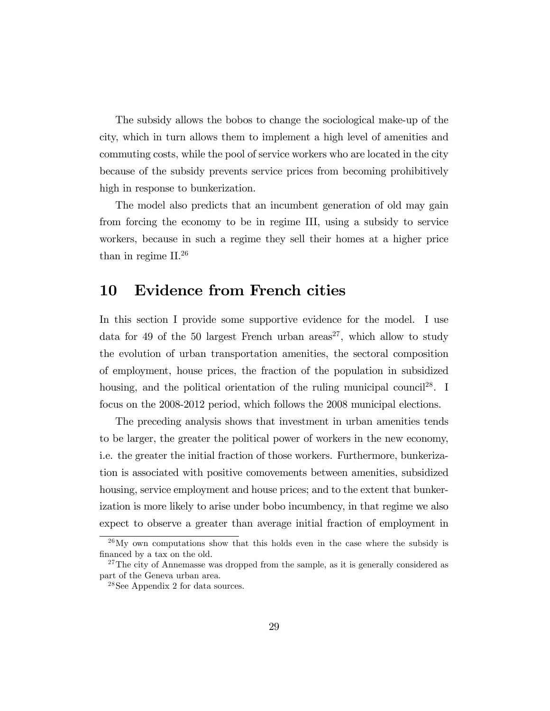The subsidy allows the bobos to change the sociological make-up of the city, which in turn allows them to implement a high level of amenities and commuting costs, while the pool of service workers who are located in the city because of the subsidy prevents service prices from becoming prohibitively high in response to bunkerization.

The model also predicts that an incumbent generation of old may gain from forcing the economy to be in regime III, using a subsidy to service workers, because in such a regime they sell their homes at a higher price than in regime II.<sup>26</sup>

#### 10 Evidence from French cities

In this section I provide some supportive evidence for the model. I use data for 49 of the 50 largest French urban areas<sup>27</sup>, which allow to study the evolution of urban transportation amenities, the sectoral composition of employment, house prices, the fraction of the population in subsidized housing, and the political orientation of the ruling municipal council<sup>28</sup>. I focus on the 2008-2012 period, which follows the 2008 municipal elections.

The preceding analysis shows that investment in urban amenities tends to be larger, the greater the political power of workers in the new economy, i.e. the greater the initial fraction of those workers. Furthermore, bunkerization is associated with positive comovements between amenities, subsidized housing, service employment and house prices; and to the extent that bunkerization is more likely to arise under bobo incumbency, in that regime we also expect to observe a greater than average initial fraction of employment in

 $^{26}$ My own computations show that this holds even in the case where the subsidy is financed by a tax on the old.

<sup>&</sup>lt;sup>27</sup>The city of Annemasse was dropped from the sample, as it is generally considered as part of the Geneva urban area.

<sup>28</sup>See Appendix 2 for data sources.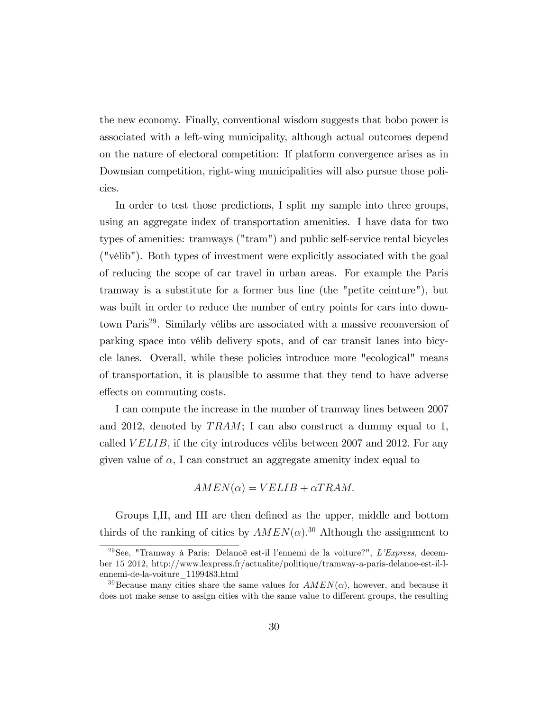the new economy. Finally, conventional wisdom suggests that bobo power is associated with a left-wing municipality, although actual outcomes depend on the nature of electoral competition: If platform convergence arises as in Downsian competition, right-wing municipalities will also pursue those policies.

In order to test those predictions, I split my sample into three groups, using an aggregate index of transportation amenities. I have data for two types of amenities: tramways ("tram") and public self-service rental bicycles ("vÈlib"). Both types of investment were explicitly associated with the goal of reducing the scope of car travel in urban areas. For example the Paris tramway is a substitute for a former bus line (the "petite ceinture"), but was built in order to reduce the number of entry points for cars into downtown Paris<sup>29</sup>. Similarly vélibs are associated with a massive reconversion of parking space into vélib delivery spots, and of car transit lanes into bicycle lanes. Overall, while these policies introduce more "ecological" means of transportation, it is plausible to assume that they tend to have adverse effects on commuting costs.

I can compute the increase in the number of tramway lines between 2007 and 2012, denoted by  $TRAM$ ; I can also construct a dummy equal to 1, called  $VELIB$ , if the city introduces vélibs between 2007 and 2012. For any given value of  $\alpha$ , I can construct an aggregate amenity index equal to

$$
AMEN(\alpha) = VELIB + \alpha TRAM.
$$

Groups I,II, and III are then defined as the upper, middle and bottom thirds of the ranking of cities by  $AMEN(\alpha)$ <sup>30</sup> Although the assignment to

<sup>&</sup>lt;sup>29</sup>See, "Tramway à Paris: Delanoë est-il l'ennemi de la voiture?", L'Express, december 15 2012, http://www.lexpress.fr/actualite/politique/tramway-a-paris-delanoe-est-il-lennemi-de-la-voiture\_1199483.html

<sup>&</sup>lt;sup>30</sup>Because many cities share the same values for  $AMEN(\alpha)$ , however, and because it does not make sense to assign cities with the same value to different groups, the resulting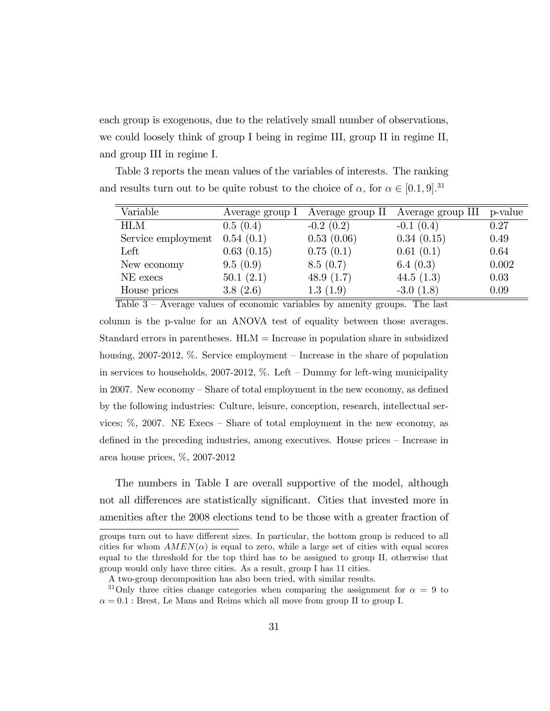each group is exogenous, due to the relatively small number of observations, we could loosely think of group I being in regime III, group II in regime II, and group III in regime I.

Table 3 reports the mean values of the variables of interests. The ranking

and results turn out to be quite robust to the choice of  $\alpha$ , for  $\alpha \in [0.1, 9]$ .<sup>31</sup> Variable Average group I Average group II Average group III p-value

| Variable           | Average group I | Average group II | Average group III | p-value |
|--------------------|-----------------|------------------|-------------------|---------|
| <b>HLM</b>         | 0.5(0.4)        | $-0.2(0.2)$      | $-0.1(0.4)$       | 0.27    |
| Service employment | 0.54(0.1)       | 0.53(0.06)       | 0.34(0.15)        | 0.49    |
| Left               | 0.63(0.15)      | 0.75(0.1)        | 0.61(0.1)         | 0.64    |
| New economy        | 9.5(0.9)        | 8.5(0.7)         | 6.4 $(0.3)$       | 0.002   |
| NE execs           | 50.1(2.1)       | 48.9 $(1.7)$     | 44.5 $(1.3)$      | 0.03    |
| House prices       | 3.8(2.6)        | 1.3(1.9)         | $-3.0(1.8)$       | 0.09    |

Table  $3 -$  Average values of economic variables by amenity groups. The last column is the p-value for an ANOVA test of equality between those averages. Standard errors in parentheses.  $HLM =$ Increase in population share in subsidized housing,  $2007-2012$ , %. Service employment – Increase in the share of population in services to households,  $2007-2012$ , %. Left – Dummy for left-wing municipality in 2007. New economy  $-$  Share of total employment in the new economy, as defined by the following industries: Culture, leisure, conception, research, intellectual services;  $\%$ , 2007. NE Execs – Share of total employment in the new economy, as defined in the preceding industries, among executives. House prices – Increase in area house prices, %, 2007-2012

The numbers in Table I are overall supportive of the model, although not all differences are statistically significant. Cities that invested more in amenities after the 2008 elections tend to be those with a greater fraction of

groups turn out to have different sizes. In particular, the bottom group is reduced to all cities for whom  $AMEN(\alpha)$  is equal to zero, while a large set of cities with equal scores equal to the threshold for the top third has to be assigned to group II, otherwise that group would only have three cities. As a result, group I has 11 cities.

A two-group decomposition has also been tried, with similar results.

<sup>&</sup>lt;sup>31</sup>Only three cities change categories when comparing the assignment for  $\alpha = 9$  to  $\alpha = 0.1$ : Brest, Le Mans and Reims which all move from group II to group I.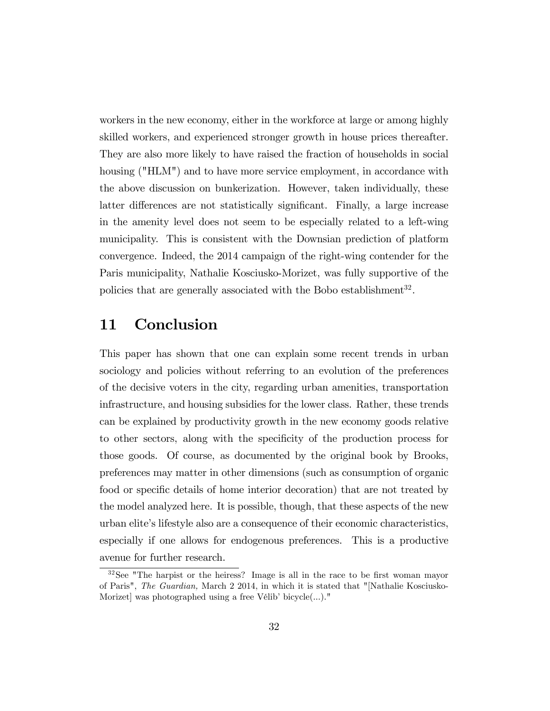workers in the new economy, either in the workforce at large or among highly skilled workers, and experienced stronger growth in house prices thereafter. They are also more likely to have raised the fraction of households in social housing ("HLM") and to have more service employment, in accordance with the above discussion on bunkerization. However, taken individually, these latter differences are not statistically significant. Finally, a large increase in the amenity level does not seem to be especially related to a left-wing municipality. This is consistent with the Downsian prediction of platform convergence. Indeed, the 2014 campaign of the right-wing contender for the Paris municipality, Nathalie Kosciusko-Morizet, was fully supportive of the policies that are generally associated with the Bobo establishment<sup>32</sup>.

### 11 Conclusion

This paper has shown that one can explain some recent trends in urban sociology and policies without referring to an evolution of the preferences of the decisive voters in the city, regarding urban amenities, transportation infrastructure, and housing subsidies for the lower class. Rather, these trends can be explained by productivity growth in the new economy goods relative to other sectors, along with the specificity of the production process for those goods. Of course, as documented by the original book by Brooks, preferences may matter in other dimensions (such as consumption of organic food or specific details of home interior decoration) that are not treated by the model analyzed here. It is possible, though, that these aspects of the new urban eliteís lifestyle also are a consequence of their economic characteristics, especially if one allows for endogenous preferences. This is a productive avenue for further research.

 $32$ See "The harpist or the heiress? Image is all in the race to be first woman mayor of Paris", The Guardian, March 2 2014, in which it is stated that "[Nathalie Kosciusko-Morizet was photographed using a free Vélib' bicycle $(\ldots)$ ."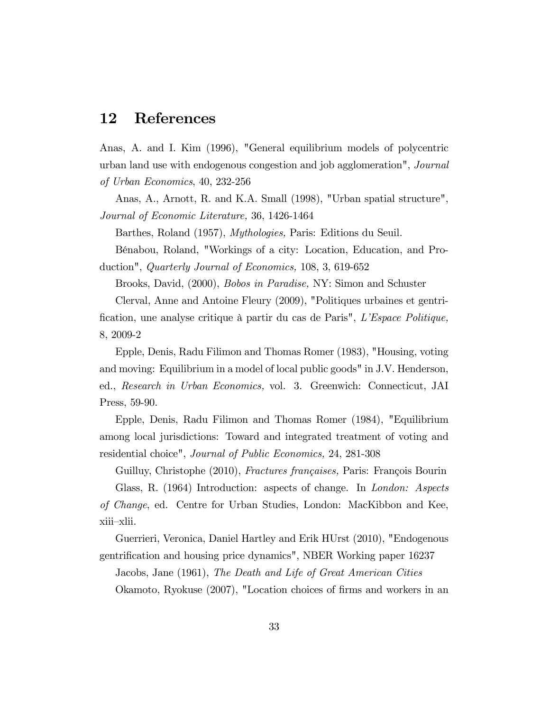#### 12 References

Anas, A. and I. Kim (1996), "General equilibrium models of polycentric urban land use with endogenous congestion and job agglomeration", Journal of Urban Economics, 40, 232-256

Anas, A., Arnott, R. and K.A. Small (1998), "Urban spatial structure", Journal of Economic Literature, 36, 1426-1464

Barthes, Roland (1957), Mythologies, Paris: Editions du Seuil.

BÈnabou, Roland, "Workings of a city: Location, Education, and Production", Quarterly Journal of Economics, 108, 3, 619-652

Brooks, David, (2000), Bobos in Paradise, NY: Simon and Schuster

Clerval, Anne and Antoine Fleury (2009), "Politiques urbaines et gentrification, une analyse critique à partir du cas de Paris", L'Espace Politique, 8, 2009-2

Epple, Denis, Radu Filimon and Thomas Romer (1983), "Housing, voting and moving: Equilibrium in a model of local public goods" in J.V. Henderson, ed., Research in Urban Economics, vol. 3. Greenwich: Connecticut, JAI Press, 59-90.

Epple, Denis, Radu Filimon and Thomas Romer (1984), "Equilibrium among local jurisdictions: Toward and integrated treatment of voting and residential choice", Journal of Public Economics, 24, 281-308

Guilluy, Christophe (2010), Fractures françaises, Paris: François Bourin Glass, R. (1964) Introduction: aspects of change. In London: Aspects of Change, ed. Centre for Urban Studies, London: MacKibbon and Kee, xiii-xlii.

Guerrieri, Veronica, Daniel Hartley and Erik HUrst (2010), "Endogenous gentrification and housing price dynamics", NBER Working paper 16237

Jacobs, Jane (1961), The Death and Life of Great American Cities

Okamoto, Ryokuse (2007), "Location choices of firms and workers in an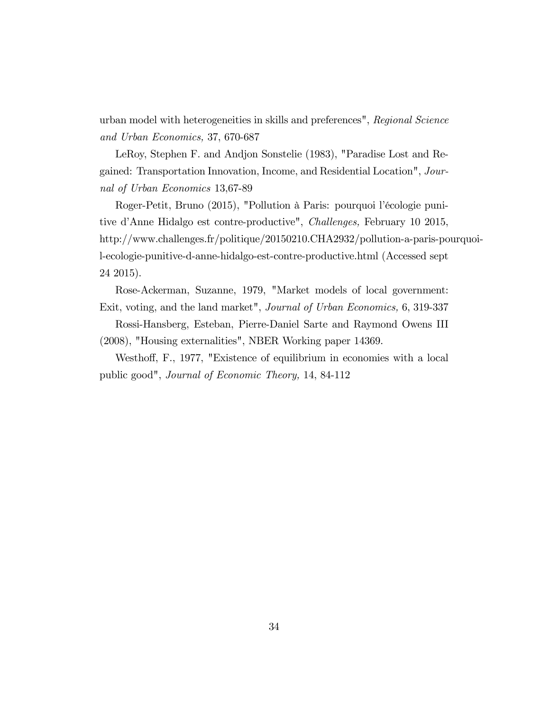urban model with heterogeneities in skills and preferences", Regional Science and Urban Economics, 37, 670-687

LeRoy, Stephen F. and Andjon Sonstelie (1983), "Paradise Lost and Regained: Transportation Innovation, Income, and Residential Location", Journal of Urban Economics 13,67-89

Roger-Petit, Bruno (2015), "Pollution à Paris: pourquoi l'écologie punitive díAnne Hidalgo est contre-productive", Challenges, February 10 2015, http://www.challenges.fr/politique/20150210.CHA2932/pollution-a-paris-pourquoil-ecologie-punitive-d-anne-hidalgo-est-contre-productive.html (Accessed sept 24 2015).

Rose-Ackerman, Suzanne, 1979, "Market models of local government: Exit, voting, and the land market", Journal of Urban Economics, 6, 319-337

Rossi-Hansberg, Esteban, Pierre-Daniel Sarte and Raymond Owens III (2008), "Housing externalities", NBER Working paper 14369.

Westhoff, F., 1977, "Existence of equilibrium in economies with a local public good", Journal of Economic Theory, 14, 84-112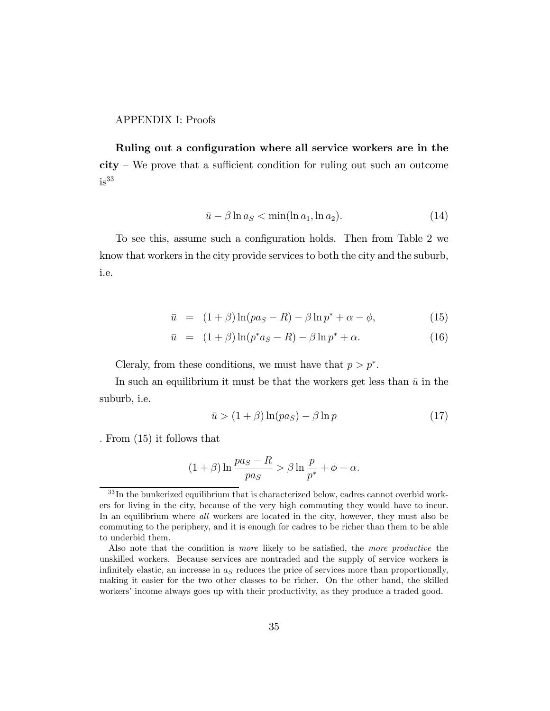#### APPENDIX I: Proofs

Ruling out a configuration where all service workers are in the  $city$  – We prove that a sufficient condition for ruling out such an outcome  $is<sup>33</sup>$ 

$$
\bar{u} - \beta \ln a_S < \min(\ln a_1, \ln a_2). \tag{14}
$$

To see this, assume such a configuration holds. Then from Table 2 we know that workers in the city provide services to both the city and the suburb, i.e.

$$
\bar{u} = (1+\beta)\ln(pa_S - R) - \beta\ln p^* + \alpha - \phi, \tag{15}
$$

$$
\bar{u} = (1+\beta)\ln(p^*a_S - R) - \beta \ln p^* + \alpha.
$$
 (16)

Cleraly, from these conditions, we must have that  $p > p^*$ .

In such an equilibrium it must be that the workers get less than  $\bar{u}$  in the suburb, i.e.

$$
\bar{u} > (1+\beta)\ln(pa_S) - \beta\ln p \tag{17}
$$

: From (15) it follows that

$$
(1+\beta)\ln\frac{pa_S - R}{pa_S} > \beta\ln\frac{p}{p^*} + \phi - \alpha.
$$

 $33$  In the bunkerized equilibrium that is characterized below, cadres cannot overbid workers for living in the city, because of the very high commuting they would have to incur. In an equilibrium where all workers are located in the city, however, they must also be commuting to the periphery, and it is enough for cadres to be richer than them to be able to underbid them.

Also note that the condition is more likely to be satisfied, the more productive the unskilled workers. Because services are nontraded and the supply of service workers is infinitely elastic, an increase in  $a<sub>S</sub>$  reduces the price of services more than proportionally, making it easier for the two other classes to be richer. On the other hand, the skilled workers' income always goes up with their productivity, as they produce a traded good.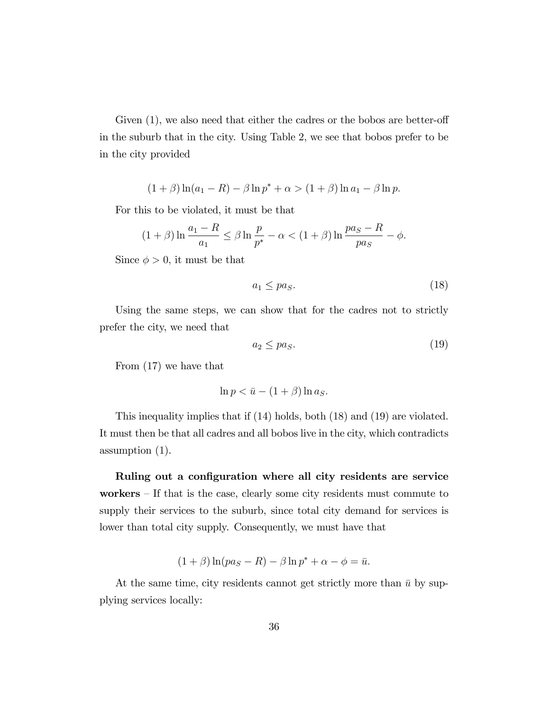Given  $(1)$ , we also need that either the cadres or the bobos are better-off in the suburb that in the city. Using Table 2, we see that bobos prefer to be in the city provided

$$
(1 + \beta) \ln(a_1 - R) - \beta \ln p^* + \alpha > (1 + \beta) \ln a_1 - \beta \ln p.
$$

For this to be violated, it must be that

$$
(1+\beta)\ln\frac{a_1-R}{a_1} \le \beta\ln\frac{p}{p^*} - \alpha < (1+\beta)\ln\frac{pa_S-R}{pa_S} - \phi.
$$

Since  $\phi > 0$ , it must be that

$$
a_1 \leq pa_S. \tag{18}
$$

Using the same steps, we can show that for the cadres not to strictly prefer the city, we need that

$$
a_2 \le pa_S. \tag{19}
$$

From (17) we have that

$$
\ln p < \bar{u} - (1 + \beta) \ln a_S.
$$

This inequality implies that if (14) holds, both (18) and (19) are violated. It must then be that all cadres and all bobos live in the city, which contradicts assumption (1).

Ruling out a configuration where all city residents are service workers  $-$  If that is the case, clearly some city residents must commute to supply their services to the suburb, since total city demand for services is lower than total city supply. Consequently, we must have that

$$
(1+\beta)\ln(pa_S - R) - \beta\ln p^* + \alpha - \phi = \bar{u}.
$$

At the same time, city residents cannot get strictly more than  $\bar{u}$  by supplying services locally: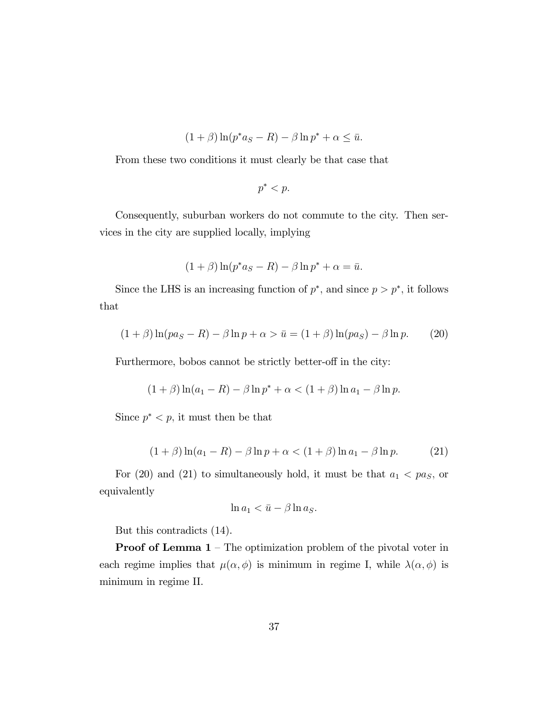$$
(1+\beta)\ln(p^*a_S - R) - \beta\ln p^* + \alpha \leq \bar{u}.
$$

From these two conditions it must clearly be that case that

$$
p^* < p.
$$

Consequently, suburban workers do not commute to the city. Then services in the city are supplied locally, implying

$$
(1+\beta)\ln(p^*a_S - R) - \beta\ln p^* + \alpha = \bar{u}.
$$

Since the LHS is an increasing function of  $p^*$ , and since  $p > p^*$ , it follows that

$$
(1+\beta)\ln(pa_S - R) - \beta\ln p + \alpha > \bar{u} = (1+\beta)\ln(pa_S) - \beta\ln p. \tag{20}
$$

Furthermore, bobos cannot be strictly better-off in the city:

$$
(1 + \beta) \ln(a_1 - R) - \beta \ln p^* + \alpha < (1 + \beta) \ln a_1 - \beta \ln p.
$$

Since  $p^* < p$ , it must then be that

$$
(1 + \beta) \ln(a_1 - R) - \beta \ln p + \alpha < (1 + \beta) \ln a_1 - \beta \ln p. \tag{21}
$$

For (20) and (21) to simultaneously hold, it must be that  $a_1 < pa_S$ , or equivalently

$$
\ln a_1 < \bar{u} - \beta \ln a_S.
$$

But this contradicts (14).

**Proof of Lemma 1** – The optimization problem of the pivotal voter in each regime implies that  $\mu(\alpha, \phi)$  is minimum in regime I, while  $\lambda(\alpha, \phi)$  is minimum in regime II.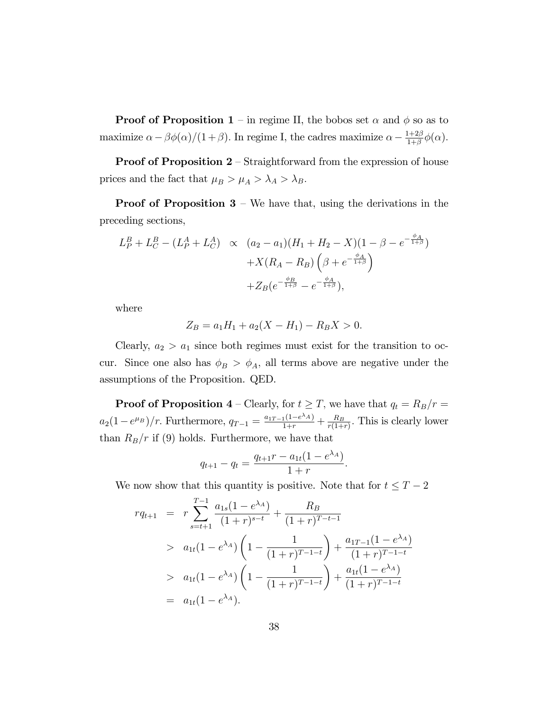**Proof of Proposition 1** – in regime II, the bobos set  $\alpha$  and  $\phi$  so as to maximize  $\alpha - \beta \phi(\alpha)/(1 + \beta)$ . In regime I, the cadres maximize  $\alpha - \frac{1+2\beta}{1+\beta}$  $\frac{1+2\beta}{1+\beta}\phi(\alpha)$ .

**Proof of Proposition 2** – Straightforward from the expression of house prices and the fact that  $\mu_B > \mu_A > \lambda_A > \lambda_B$ .

**Proof of Proposition 3** – We have that, using the derivations in the preceding sections,

$$
L_P^B + L_C^B - (L_P^A + L_C^A) \propto (a_2 - a_1)(H_1 + H_2 - X)(1 - \beta - e^{-\frac{\phi_A}{1 + \beta}}) + X(R_A - R_B) \left(\beta + e^{-\frac{\phi_A}{1 + \beta}}\right) + Z_B(e^{-\frac{\phi_B}{1 + \beta}} - e^{-\frac{\phi_A}{1 + \beta}}),
$$

where

$$
Z_B = a_1 H_1 + a_2 (X - H_1) - R_B X > 0.
$$

Clearly,  $a_2 > a_1$  since both regimes must exist for the transition to occur. Since one also has  $\phi_B > \phi_A$ , all terms above are negative under the assumptions of the Proposition. QED.

**Proof of Proposition 4** – Clearly, for  $t \geq T$ , we have that  $q_t = R_B/r = T$  $a_2(1-e^{\mu_B})/r$ . Furthermore,  $q_{T-1} = \frac{a_{1T-1}(1-e^{\lambda_A})}{1+r} + \frac{R_B}{r(1+r)}$  $\frac{R_B}{r(1+r)}$ . This is clearly lower than  $R_B/r$  if (9) holds. Furthermore, we have that

$$
q_{t+1} - q_t = \frac{q_{t+1}r - a_{1t}(1 - e^{\lambda_A})}{1 + r}.
$$

We now show that this quantity is positive. Note that for  $t \leq T - 2$ 

$$
rq_{t+1} = r \sum_{s=t+1}^{T-1} \frac{a_{1s}(1 - e^{\lambda_A})}{(1+r)^{s-t}} + \frac{R_B}{(1+r)^{T-t-1}}
$$
  
>  $a_{1t}(1 - e^{\lambda_A}) \left(1 - \frac{1}{(1+r)^{T-1-t}}\right) + \frac{a_{1T-1}(1 - e^{\lambda_A})}{(1+r)^{T-1-t}}$   
>  $a_{1t}(1 - e^{\lambda_A}) \left(1 - \frac{1}{(1+r)^{T-1-t}}\right) + \frac{a_{1t}(1 - e^{\lambda_A})}{(1+r)^{T-1-t}}$   
=  $a_{1t}(1 - e^{\lambda_A}).$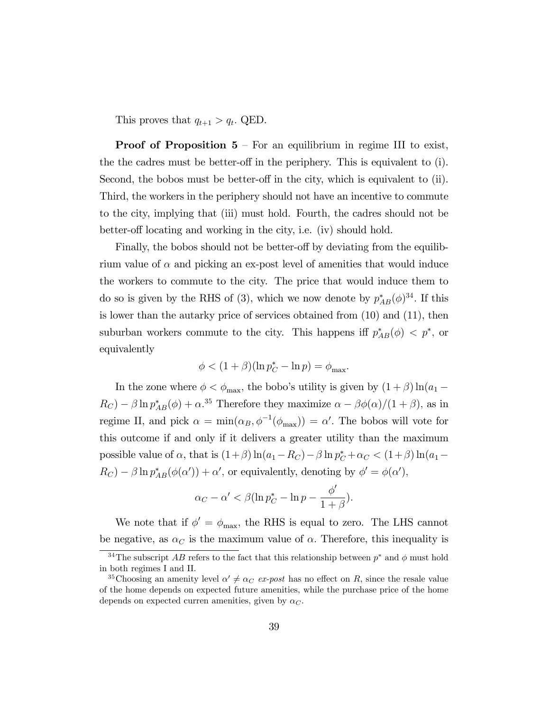This proves that  $q_{t+1} > q_t$ . QED.

**Proof of Proposition 5** – For an equilibrium in regime III to exist, the the cadres must be better-off in the periphery. This is equivalent to  $(i)$ . Second, the bobos must be better-off in the city, which is equivalent to  $(ii)$ . Third, the workers in the periphery should not have an incentive to commute to the city, implying that (iii) must hold. Fourth, the cadres should not be better-off locating and working in the city, i.e. (iv) should hold.

Finally, the bobos should not be better-off by deviating from the equilibrium value of  $\alpha$  and picking an ex-post level of amenities that would induce the workers to commute to the city. The price that would induce them to do so is given by the RHS of (3), which we now denote by  $p_{AB}^*(\phi)^{34}$ . If this is lower than the autarky price of services obtained from (10) and (11), then suburban workers commute to the city. This happens iff  $p_{AB}^*(\phi) < p^*$ , or equivalently

$$
\phi < (1+\beta)(\ln p_C^* - \ln p) = \phi_{\max}.
$$

In the zone where  $\phi < \phi_{\text{max}}$ , the bobo's utility is given by  $(1 + \beta) \ln(a_1 R_C$ ) –  $\beta \ln p_{AB}^*(\phi) + \alpha^{35}$  Therefore they maximize  $\alpha - \beta \phi(\alpha)/(1 + \beta)$ , as in regime II, and pick  $\alpha = \min(\alpha_B, \phi^{-1}(\phi_{\text{max}})) = \alpha'$ . The bobos will vote for this outcome if and only if it delivers a greater utility than the maximum possible value of  $\alpha$ , that is  $(1+\beta)\ln(a_1-R_C) - \beta \ln p_C^* + \alpha_C < (1+\beta)\ln(a_1-\beta)$  $R_C$ ) –  $\beta \ln p_{AB}^*(\phi(\alpha')) + \alpha'$ , or equivalently, denoting by  $\phi' = \phi(\alpha')$ ,

$$
\alpha_C - \alpha' < \beta \left( \ln p_C^* - \ln p - \frac{\phi'}{1 + \beta} \right).
$$

We note that if  $\phi' = \phi_{\text{max}}$ , the RHS is equal to zero. The LHS cannot be negative, as  $\alpha_C$  is the maximum value of  $\alpha$ . Therefore, this inequality is

<sup>&</sup>lt;sup>34</sup>The subscript AB refers to the fact that this relationship between  $p^*$  and  $\phi$  must hold in both regimes I and II.

<sup>&</sup>lt;sup>35</sup>Choosing an amenity level  $\alpha' \neq \alpha_C$  ex-post has no effect on R, since the resale value of the home depends on expected future amenities, while the purchase price of the home depends on expected curren amenities, given by  $\alpha_C$ .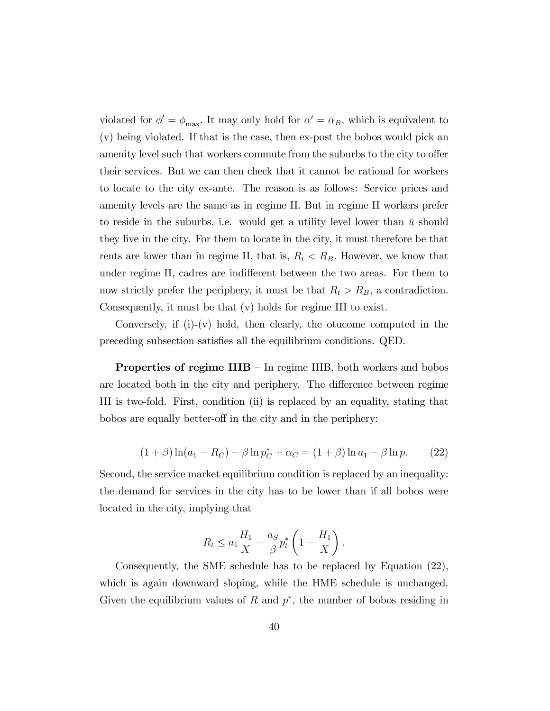violated for  $\phi' = \phi_{\text{max}}$ . It may only hold for  $\alpha' = \alpha_B$ , which is equivalent to (v) being violated. If that is the case, then ex-post the bobos would pick an amenity level such that workers commute from the suburbs to the city to offer their services. But we can then check that it cannot be rational for workers to locate to the city ex-ante. The reason is as follows: Service prices and amenity levels are the same as in regime II. But in regime II workers prefer to reside in the suburbs, i.e. would get a utility level lower than  $\bar{u}$  should they live in the city. For them to locate in the city, it must therefore be that rents are lower than in regime II, that is,  $R_t < R_B$ . However, we know that under regime II, cadres are indifferent between the two areas. For them to now strictly prefer the periphery, it must be that  $R_t > R_B$ , a contradiction. Consequently, it must be that (v) holds for regime III to exist.

Conversely, if (i)-(v) hold, then clearly, the otucome computed in the preceding subsection satisfies all the equilibrium conditions. QED.

**Properties of regime IIIB**  $-$  In regime IIIB, both workers and bobos are located both in the city and periphery. The difference between regime III is two-fold. First, condition (ii) is replaced by an equality, stating that bobos are equally better-off in the city and in the periphery:

$$
(1 + \beta) \ln(a_1 - R_C) - \beta \ln p_C^* + \alpha_C = (1 + \beta) \ln a_1 - \beta \ln p. \tag{22}
$$

Second, the service market equilibrium condition is replaced by an inequality: the demand for services in the city has to be lower than if all bobos were located in the city, implying that

$$
R_t \le a_1 \frac{H_1}{X} - \frac{a_S}{\beta} p_t^* \left( 1 - \frac{H_1}{X} \right).
$$

Consequently, the SME schedule has to be replaced by Equation (22), which is again downward sloping, while the HME schedule is unchanged. Given the equilibrium values of R and  $p^*$ , the number of bobos residing in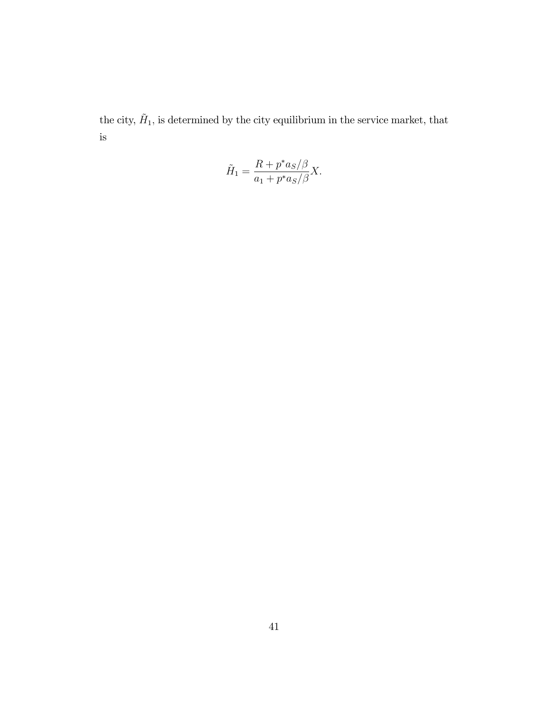the city,  $\tilde{H}_1$ , is determined by the city equilibrium in the service market, that is

$$
\tilde{H}_1 = \frac{R + p^* a_S/\beta}{a_1 + p^* a_S/\beta} X.
$$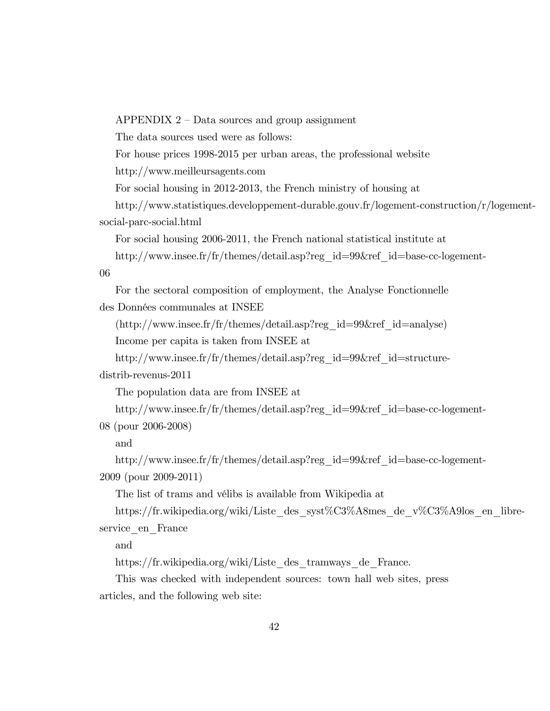APPENDIX  $2$  – Data sources and group assignment

The data sources used were as follows:

For house prices 1998-2015 per urban areas, the professional website

http://www.meilleursagents.com

For social housing in 2012-2013, the French ministry of housing at

http://www.statistiques.developpement-durable.gouv.fr/logement-construction/r/logementsocial-parc-social.html

For social housing 2006-2011, the French national statistical institute at

http://www.insee.fr/fr/themes/detail.asp?reg\_id=99&ref\_id=base-cc-logement-

06

For the sectoral composition of employment, the Analyse Fonctionnelle des Données communales at INSEE

(http://www.insee.fr/fr/themes/detail.asp?reg\_id=99&ref\_id=analyse)

Income per capita is taken from INSEE at

http://www.insee.fr/fr/themes/detail.asp?reg\_id=99&ref\_id=structure-

distrib-revenus-2011

The population data are from INSEE at

http://www.insee.fr/fr/themes/detail.asp?reg\_id=99&ref\_id=base-cc-logement-

08 (pour 2006-2008)

and

http://www.insee.fr/fr/themes/detail.asp?reg\_id=99&ref\_id=base-cc-logement-2009 (pour 2009-2011)

The list of trams and vélibs is available from Wikipedia at

https://fr.wikipedia.org/wiki/Liste\_des\_syst%C3%A8mes\_de\_v%C3%A9los\_en\_libreservice en France

and

https://fr.wikipedia.org/wiki/Liste\_des\_tramways\_de\_France.

This was checked with independent sources: town hall web sites, press articles, and the following web site: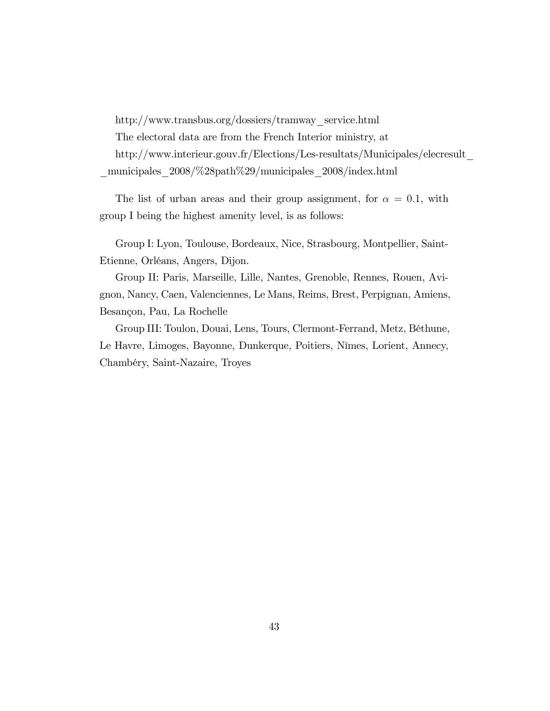http://www.transbus.org/dossiers/tramway\_service.html

The electoral data are from the French Interior ministry, at

http://www.interieur.gouv.fr/Elections/Les-resultats/Municipales/elecresult\_ \_municipales\_2008/%28path%29/municipales\_2008/index.html

The list of urban areas and their group assignment, for  $\alpha = 0.1$ , with group I being the highest amenity level, is as follows:

Group I: Lyon, Toulouse, Bordeaux, Nice, Strasbourg, Montpellier, Saint-Etienne, OrlÈans, Angers, Dijon.

Group II: Paris, Marseille, Lille, Nantes, Grenoble, Rennes, Rouen, Avignon, Nancy, Caen, Valenciennes, Le Mans, Reims, Brest, Perpignan, Amiens, Besançon, Pau, La Rochelle

Group III: Toulon, Douai, Lens, Tours, Clermont-Ferrand, Metz, BÈthune, Le Havre, Limoges, Bayonne, Dunkerque, Poitiers, Nîmes, Lorient, Annecy, ChambÈry, Saint-Nazaire, Troyes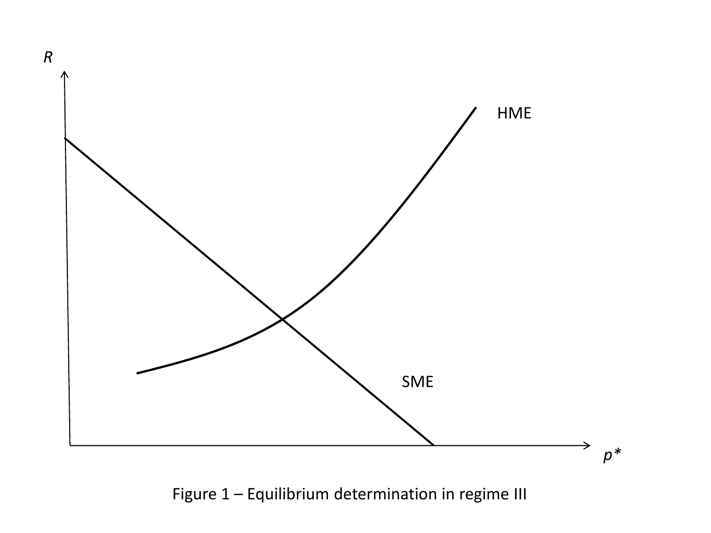

Figure 1 – Equilibrium determination in regime III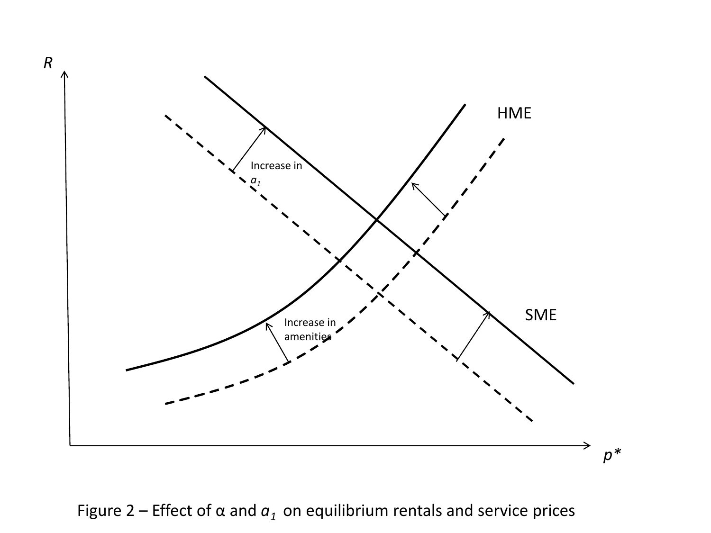

Figure 2 – Effect of  $\alpha$  and  $a_1$  on equilibrium rentals and service prices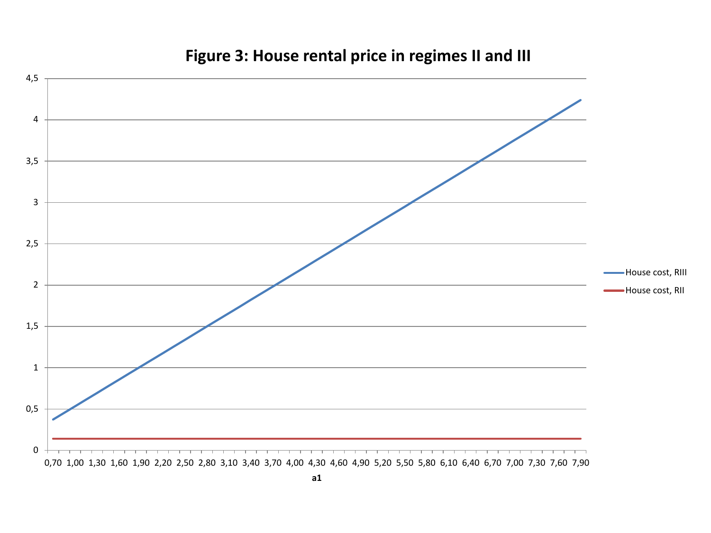

# **Figure 3: House rental price in regimes II and III**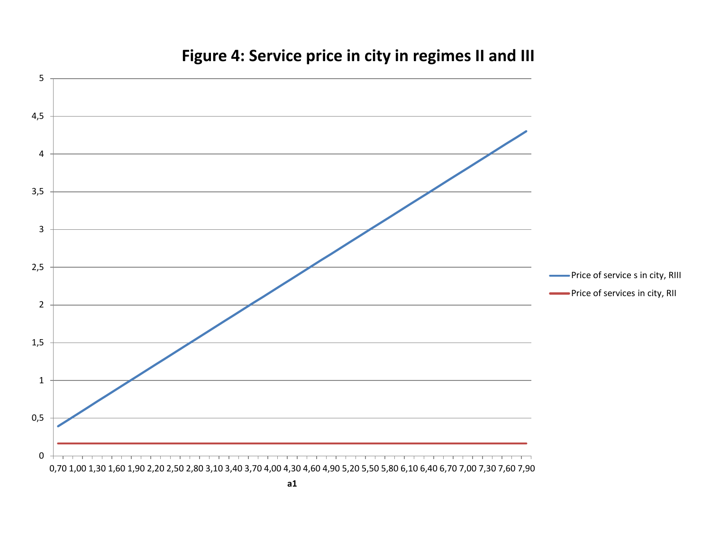

# **Figure 4: Service price in city in regimes II and III**